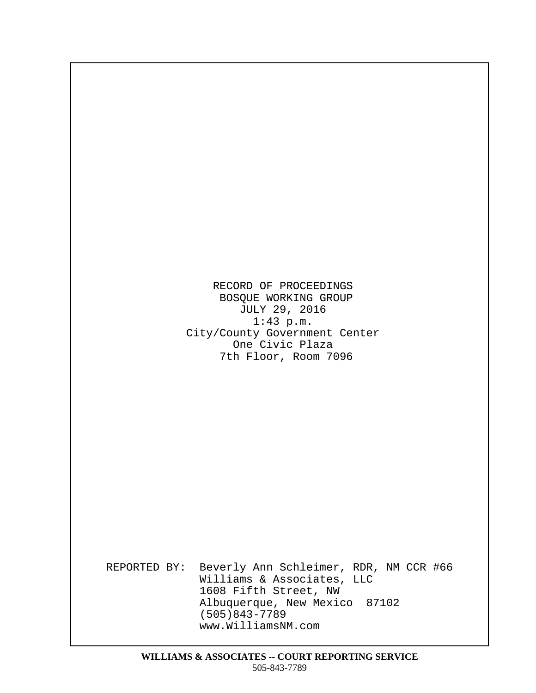RECORD OF PROCEEDINGS BOSQUE WORKING GROUP JULY 29, 2016  $1:43$  p.m. City/County Government Center One Civic Plaza 7th Floor, Room 7096

· · · · · · · · · · · · · · · · · · · · · · · · · · · · · · · · · · · · · · · · · · · · · · · · · · · · · ·

· · · · · · · · · · · · · · · · · · · · · · · · · · · · · · · · · · · · · · · · · · · · · · · · · · ·

· · ·

REPORTED BY: Beverly Ann Schleimer, RDR, NM CCR #66 Williams & Associates, LLC 1608 Fifth Street, NW Albuquerque, New Mexico 87102  $(505)843 - 7789$ www.WilliamsNM.com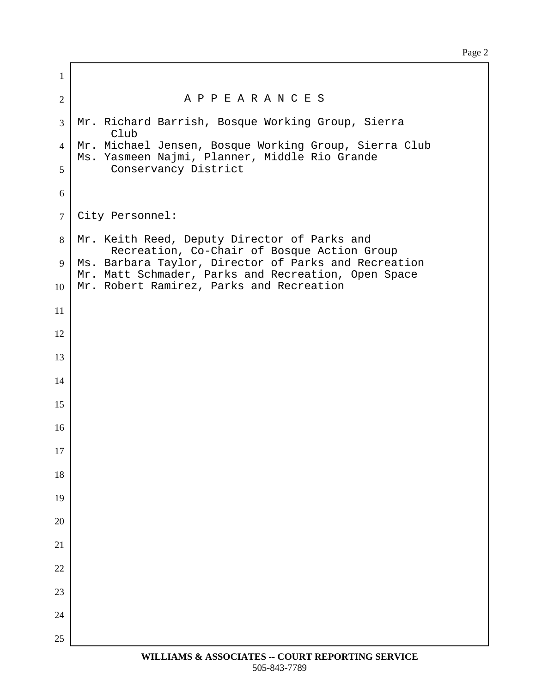Page 2

| $\mathbf{1}$   |                                                                                                             |
|----------------|-------------------------------------------------------------------------------------------------------------|
| $\overline{2}$ | A P P E A R A N C E S                                                                                       |
| 3              | Mr. Richard Barrish, Bosque Working Group, Sierra<br>Club                                                   |
| $\overline{4}$ | Mr. Michael Jensen, Bosque Working Group, Sierra Club<br>Ms. Yasmeen Najmi, Planner, Middle Rio Grande      |
| 5              | Conservancy District                                                                                        |
| 6              |                                                                                                             |
| $\overline{7}$ | City Personnel:                                                                                             |
| 8              | Mr. Keith Reed, Deputy Director of Parks and<br>Recreation, Co-Chair of Bosque Action Group                 |
| 9              | Ms. Barbara Taylor, Director of Parks and Recreation<br>Mr. Matt Schmader, Parks and Recreation, Open Space |
| 10             | Mr. Robert Ramirez, Parks and Recreation                                                                    |
| 11             |                                                                                                             |
| 12             |                                                                                                             |
| 13             |                                                                                                             |
| 14             |                                                                                                             |
| 15             |                                                                                                             |
| 16             |                                                                                                             |
| 17             |                                                                                                             |
| 18             |                                                                                                             |
| 19             |                                                                                                             |
| 20             |                                                                                                             |
| 21             |                                                                                                             |
| 22             |                                                                                                             |
| 23             |                                                                                                             |
| 24             |                                                                                                             |
| 25             |                                                                                                             |
|                | WILLIAMS & ASSOCIATES -- COURT REPORTING SERVICE                                                            |

ľ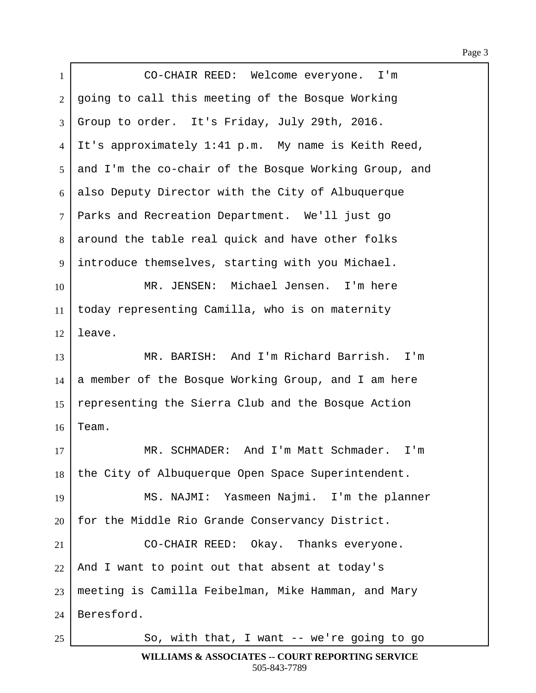1 | CO-CHAIR REED: Welcome everyone. I'm 2 | going to call this meeting of the Bosque Working  $3$  Group to order. It's Friday, July 29th, 2016. 4 It's approximately 1:41 p.m. My name is Keith Reed, 5 and I'm the co-chair of the Bosque Working Group, and  $6$  also Deputy Director with the City of Albuquerque 7 | Parks and Recreation Department. We'll just go  $8$  around the table real quick and have other folks  $9$  introduce themselves, starting with you Michael. 10 | The MR. JENSEN: Michael Jensen. I'm here  $11$  today representing Camilla, who is on maternity  $12$  leave. 13 | MR. BARISH: And I'm Richard Barrish. I'm  $14$  a member of the Bosque Working Group, and I am here 15 representing the Sierra Club and the Bosque Action  $16$  Team. 17 WR. SCHMADER: And I'm Matt Schmader. I'm 18 the City of Albuquerque Open Space Superintendent. 19 | MS. NAJMI: Yasmeen Najmi. I'm the planner  $20$  for the Middle Rio Grande Conservancy District. 21 | CO-CHAIR REED: Okay. Thanks everyone.  $22$  And I want to point out that absent at today's  $23$  meeting is Camilla Feibelman, Mike Hamman, and Mary  $24$  | Beresford. 25· · · · · · · So, with that, I want -- we're going to go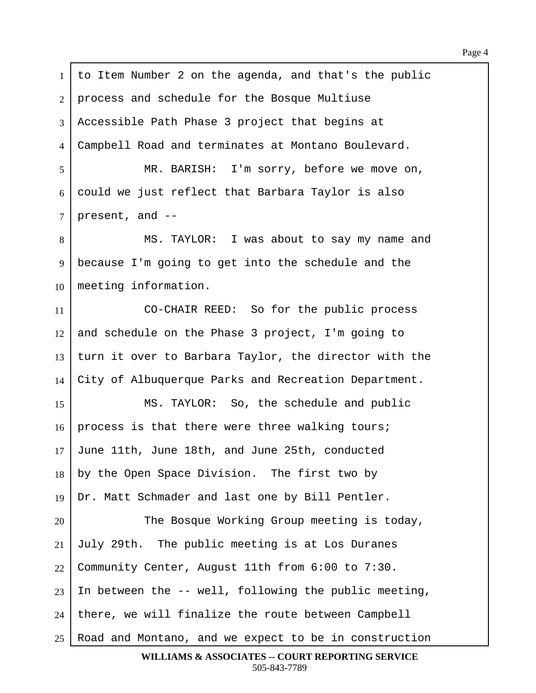1 | to Item Number 2 on the agenda, and that's the public 2 | process and schedule for the Bosque Multiuse  $3$  Accessible Path Phase 3 project that begins at 4 Campbell Road and terminates at Montano Boulevard. 5 | MR. BARISH: I'm sorry, before we move on,  $6$  could we just reflect that Barbara Taylor is also  $7$  | present, and --8 | MS. TAYLOR: I was about to say my name and 9 | because I'm going to get into the schedule and the  $10$  meeting information. 11 CO-CHAIR REED: So for the public process  $12$  and schedule on the Phase 3 project, I'm going to  $13$  turn it over to Barbara Taylor, the director with the 14 City of Albuquerque Parks and Recreation Department. 15 | MS. TAYLOR: So, the schedule and public  $16$  | process is that there were three walking tours;  $17$  June 11th, June 18th, and June 25th, conducted  $18$  by the Open Space Division. The first two by  $19$  Dr. Matt Schmader and last one by Bill Pentler. 20 The Bosque Working Group meeting is today,  $21$  July 29th. The public meeting is at Los Duranes 22 Community Center, August 11th from  $6:00$  to  $7:30$ . 23 In between the  $-$ - well, following the public meeting,  $24$  | there, we will finalize the route between Campbell  $25$  Road and Montano, and we expect to be in construction **WILLIAMS & ASSOCIATES -- COURT REPORTING SERVICE**

505-843-7789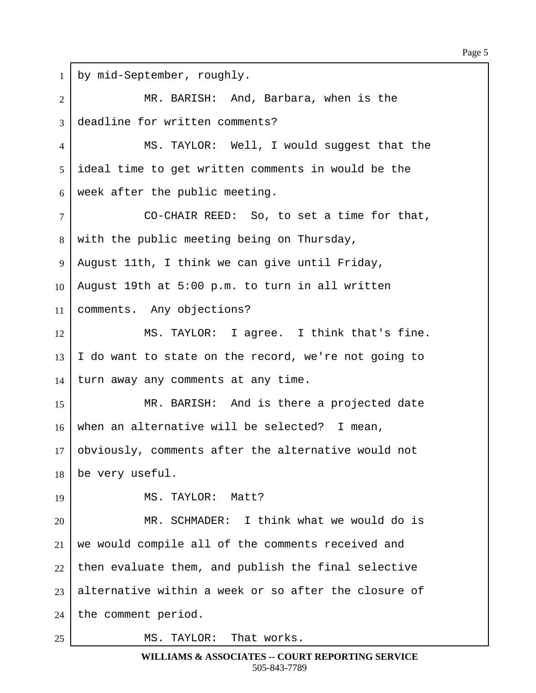| $\mathbf{1}$   | by mid-September, roughly.                           |
|----------------|------------------------------------------------------|
| $\overline{2}$ | MR. BARISH: And, Barbara, when is the                |
| 3              | deadline for written comments?                       |
| 4              | MS. TAYLOR: Well, I would suggest that the           |
| 5              | ideal time to get written comments in would be the   |
| 6              | week after the public meeting.                       |
| $\overline{7}$ | CO-CHAIR REED: So, to set a time for that,           |
| 8              | with the public meeting being on Thursday,           |
| 9              | August 11th, I think we can give until Friday,       |
| 10             | August 19th at 5:00 p.m. to turn in all written      |
| 11             | comments. Any objections?                            |
| 12             | MS. TAYLOR: I agree. I think that's fine.            |
| 13             | I do want to state on the record, we're not going to |
| 14             | turn away any comments at any time.                  |
| 15             | MR. BARISH: And is there a projected date            |
| 16             | when an alternative will be selected? I mean,        |
| 17             | obviously, comments after the alternative would not  |
| 18             | be very useful.                                      |
| 19             | MS. TAYLOR: Matt?                                    |
| 20             | MR. SCHMADER: I think what we would do is            |
| 21             | we would compile all of the comments received and    |
| 22             | then evaluate them, and publish the final selective  |
| 23             | alternative within a week or so after the closure of |
| 24             | the comment period.                                  |
| 25             | TAYLOR: That works.<br>MS.                           |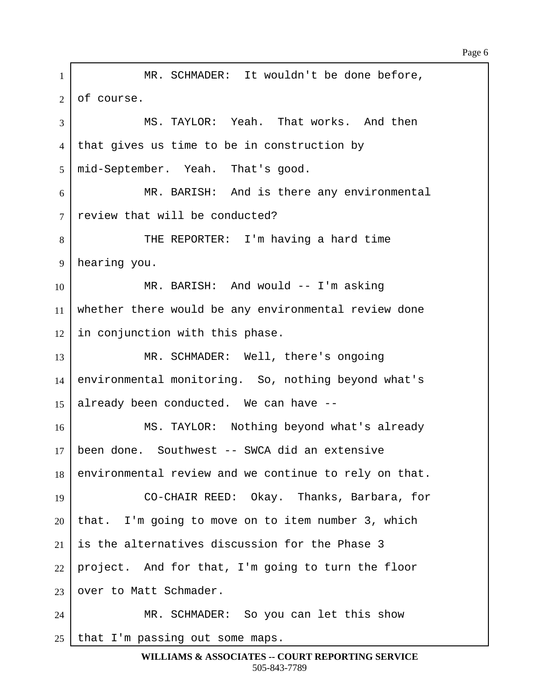1 | MR. SCHMADER: It wouldn't be done before,  $2$  of course. 3 | MS. TAYLOR: Yeah. That works. And then  $4$  that gives us time to be in construction by 5 | mid-September. Yeah. That's good.  $6$  MR. BARISH: And is there any environmental  $7$  review that will be conducted? 8 | THE REPORTER: I'm having a hard time 9 | hearing you. 10 | MR. BARISH: And would -- I'm asking 11 whether there would be any environmental review done  $12$  in conjunction with this phase. 13 MR. SCHMADER: Well, there's ongoing 14 environmental monitoring. So, nothing beyond what's 15 already been conducted. We can have  $-$ -16 | MS. TAYLOR: Nothing beyond what's already  $17$  been done. Southwest  $-$ - SWCA did an extensive  $18$  environmental review and we continue to rely on that. 19· · · · · · · CO-CHAIR REED:··Okay.··Thanks, Barbara, for  $20$  that. I'm going to move on to item number 3, which  $21$  is the alternatives discussion for the Phase 3  $22$  project. And for that, I'm going to turn the floor  $23$  over to Matt Schmader. 24 MR. SCHMADER: So you can let this show  $25$  that I'm passing out some maps.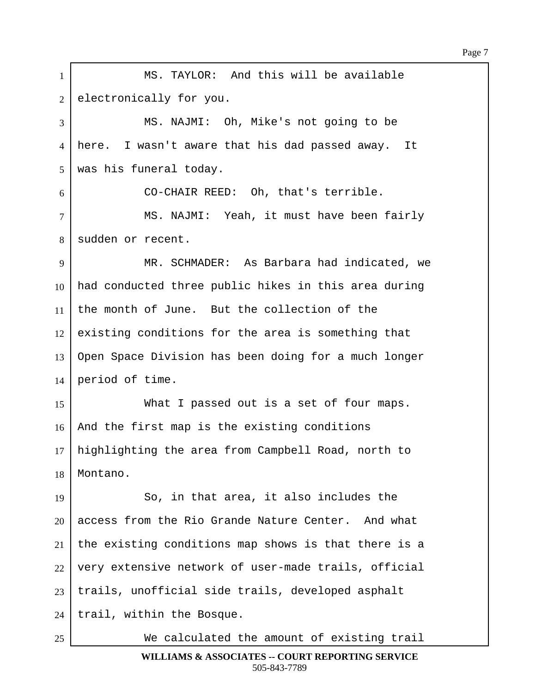1 | MS. TAYLOR: And this will be available 2 electronically for you. 3 MS. NAJMI: Oh, Mike's not going to be 4 | here. I wasn't aware that his dad passed away. It 5 | was his funeral today. ·6· · · · · · · CO-CHAIR REED:··Oh, that's terrible. 7 | MS. NAJMI: Yeah, it must have been fairly 8 sudden or recent. 9 | MR. SCHMADER: As Barbara had indicated, we  $10$  had conducted three public hikes in this area during 11  $\vert$  the month of June. But the collection of the  $12$  existing conditions for the area is something that 13 Open Space Division has been doing for a much longer  $14$  period of time. 15 What I passed out is a set of four maps.  $16$  and the first map is the existing conditions 17 | highlighting the area from Campbell Road, north to 18 | Montano. 19· · · · · · · So, in that area, it also includes the  $20$  access from the Rio Grande Nature Center. And what  $21$  the existing conditions map shows is that there is a  $22$  | very extensive network of user-made trails, official  $23$  | trails, unofficial side trails, developed asphalt  $24$  | trail, within the Bosque. 25· · · · · · · We calculated the amount of existing trail

Page 7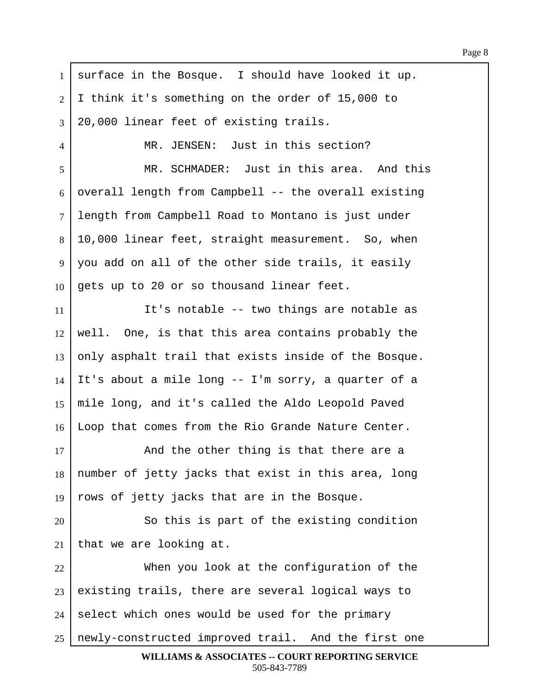$1$  surface in the Bosque. I should have looked it up.  $2 \mid I$  think it's something on the order of 15,000 to  $3$  | 20,000 linear feet of existing trails. 4 MR. JENSEN: Just in this section? 5 MR. SCHMADER: Just in this area. And this  $6$  overall length from Campbell -- the overall existing 7 length from Campbell Road to Montano is just under  $8 \mid 10,000$  linear feet, straight measurement. So, when 9 | you add on all of the other side trails, it easily  $10$  gets up to 20 or so thousand linear feet. 11 **I** It's notable -- two things are notable as  $12$  well. One, is that this area contains probably the  $13$  only asphalt trail that exists inside of the Bosque.  $14$  It's about a mile long -- I'm sorry, a quarter of a  $15$  mile long, and it's called the Aldo Leopold Paved 16 Loop that comes from the Rio Grande Nature Center. 17 and the other thing is that there are a 18 | number of jetty jacks that exist in this area, long 19  $\vert$  rows of jetty jacks that are in the Bosque. 20 | So this is part of the existing condition  $21$  that we are looking at. 22 When you look at the configuration of the  $23$  existing trails, there are several logical ways to  $24$  select which ones would be used for the primary  $25$  newly-constructed improved trail. And the first one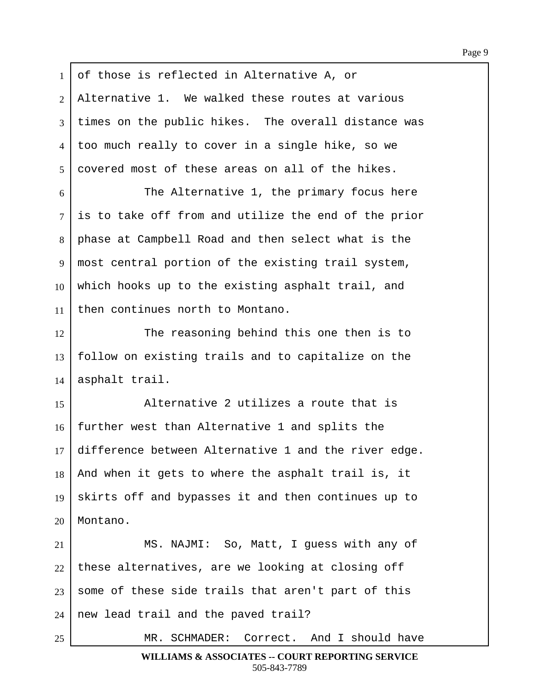1 of those is reflected in Alternative A, or  $2$  | Alternative 1. We walked these routes at various 3 times on the public hikes. The overall distance was 4 too much really to cover in a single hike, so we  $5 \mid$  covered most of these areas on all of the hikes.  $6$   $\vert$  The Alternative 1, the primary focus here  $7$  is to take off from and utilize the end of the prior 8 | phase at Campbell Road and then select what is the 9 | most central portion of the existing trail system,  $10$  which hooks up to the existing asphalt trail, and 11 | then continues north to Montano. 12 The reasoning behind this one then is to  $13$   $\vert$  follow on existing trails and to capitalize on the 15· · · · · · · Alternative 2 utilizes a route that is  $16$  further west than Alternative 1 and splits the  $17$  difference between Alternative 1 and the river edge.  $18$  and when it gets to where the asphalt trail is, it

19 | skirts off and bypasses it and then continues up to  $20$  | Montano.

 $14$  asphalt trail.

21 | MS. NAJMI: So, Matt, I guess with any of these alternatives, are we looking at closing off some of these side trails that aren't part of this | new lead trail and the paved trail?

25 MR. SCHMADER: Correct. And I should have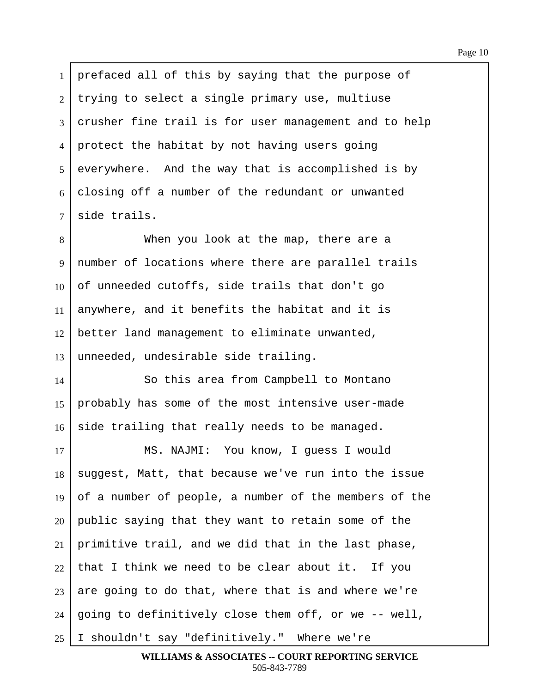1 | prefaced all of this by saying that the purpose of trying to select a single primary use, multiuse crusher fine trail is for user management and to help 4 protect the habitat by not having users going everywhere. And the way that is accomplished is by closing off a number of the redundant or unwanted side trails.

8 **I When you look at the map, there are a** 9 | number of locations where there are parallel trails  $10$  of unneeded cutoffs, side trails that don't go 11 anywhere, and it benefits the habitat and it is 12 better land management to eliminate unwanted,  $13$  unneeded, undesirable side trailing.

14 So this area from Campbell to Montano 15 | probably has some of the most intensive user-made  $16$  side trailing that really needs to be managed.

17 | MS. NAJMI: You know, I quess I would 18 | suggest, Matt, that because we've run into the issue 19 of a number of people, a number of the members of the public saying that they want to retain some of the primitive trail, and we did that in the last phase, that I think we need to be clear about it. If you are going to do that, where that is and where we're | going to definitively close them off, or we -- well, | I shouldn't say "definitively." Where we're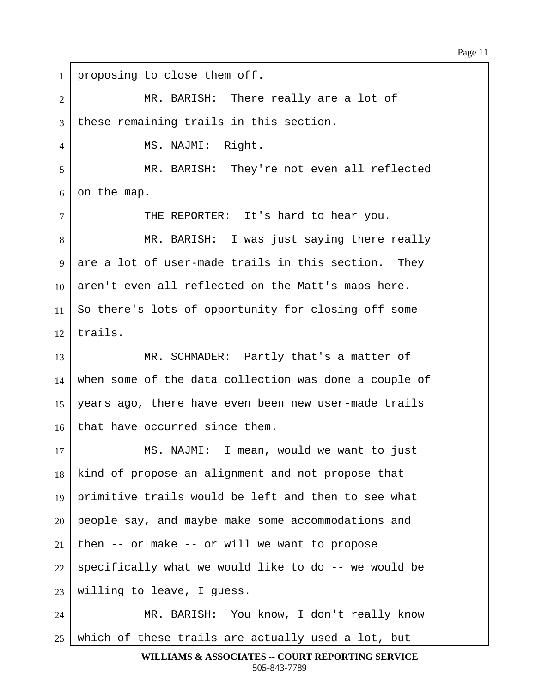1 proposing to close them off. 2 MR. BARISH: There really are a lot of 3 these remaining trails in this section. 4 | MS. NAJMI: Right. 5 | MR. BARISH: They're not even all reflected  $6$  on the map. 7 | THE REPORTER: It's hard to hear you. 8 | MR. BARISH: I was just saying there really  $9$  are a lot of user-made trails in this section. They  $10\,$  aren't even all reflected on the Matt's maps here.  $11$  So there's lots of opportunity for closing off some  $12$  trails. 13 | MR. SCHMADER: Partly that's a matter of  $14$  when some of the data collection was done a couple of 15 | years ago, there have even been new user-made trails 16 that have occurred since them. 17 | MS. NAJMI: I mean, would we want to just  $18$  kind of propose an alignment and not propose that 19 | primitive trails would be left and then to see what  $20$  people say, and maybe make some accommodations and  $21$  then -- or make -- or will we want to propose  $22$  specifically what we would like to do -- we would be  $23$  willing to leave, I guess. 24 | MR. BARISH: You know, I don't really know  $25$  which of these trails are actually used a lot, but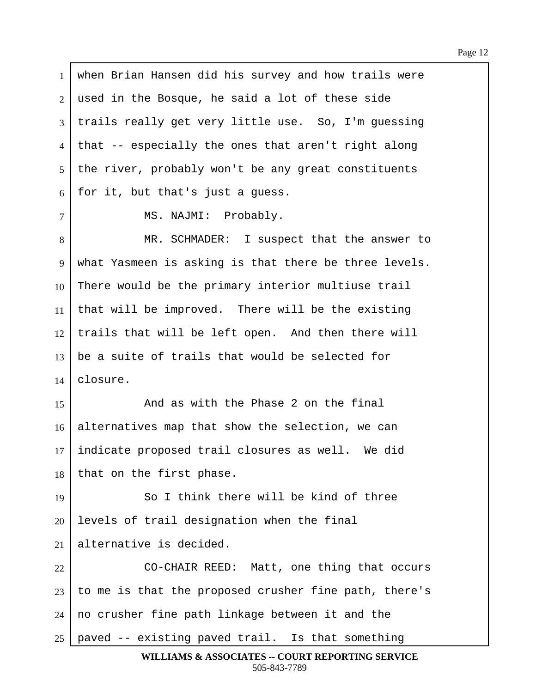1 | when Brian Hansen did his survey and how trails were  $2$  used in the Bosque, he said a lot of these side 3 | trails really get very little use. So, I'm guessing  $4$  that  $-$  especially the ones that aren't right along  $5$  the river, probably won't be any great constituents  $6$  for it, but that's just a quess. 7 | MS. NAJMI: Probably. 8 | MR. SCHMADER: I suspect that the answer to 9 | what Yasmeen is asking is that there be three levels.  $10$  There would be the primary interior multiuse trail 11 | that will be improved. There will be the existing  $12$  trails that will be left open. And then there will  $13$  be a suite of trails that would be selected for  $14$  closure. 15· · · · · · · And as with the Phase 2 on the final  $16$  alternatives map that show the selection, we can  $17$  indicate proposed trail closures as well. We did  $18$  that on the first phase. 19 **8** · So I think there will be kind of three  $20$  levels of trail designation when the final 21 alternative is decided. 22 | CO-CHAIR REED: Matt, one thing that occurs  $23$  to me is that the proposed crusher fine path, there's  $24$  | no crusher fine path linkage between it and the  $25$  | paved -- existing paved trail. Is that something **WILLIAMS & ASSOCIATES -- COURT REPORTING SERVICE**

505-843-7789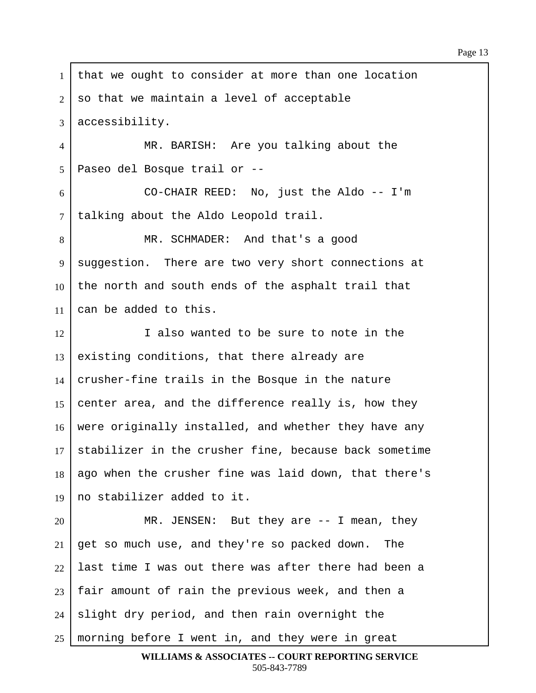1 | that we ought to consider at more than one location  $2$  so that we maintain a level of acceptable  $3$  accessibility. 4 MR. BARISH: Are you talking about the ·5· ·Paseo del Bosque trail or --  $6$   $\vert$  00-CHAIR REED: No, just the Aldo -- I'm 7 | talking about the Aldo Leopold trail. 8 | MR. SCHMADER: And that's a good 9 | suggestion. There are two very short connections at 10 the north and south ends of the asphalt trail that 11  $\vert$  can be added to this. 12 I also wanted to be sure to note in the  $13$  existing conditions, that there already are  $14$  crusher-fine trails in the Bosque in the nature 15 center area, and the difference really is, how they 16 were originally installed, and whether they have any  $17$  stabilizer in the crusher fine, because back sometime 18 ago when the crusher fine was laid down, that there's 19  $\vert$  no stabilizer added to it. 20 MR. JENSEN: But they are -- I mean, they  $21$  get so much use, and they're so packed down. The  $22$  last time I was out there was after there had been a  $23$  | fair amount of rain the previous week, and then a  $24$  slight dry period, and then rain overnight the  $25$  morning before I went in, and they were in great **WILLIAMS & ASSOCIATES -- COURT REPORTING SERVICE**

505-843-7789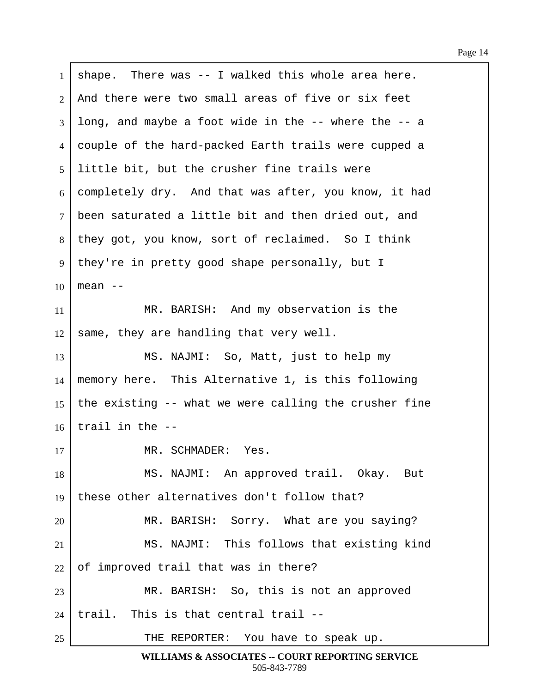$1$  shape. There was  $-$  I walked this whole area here. 2 | And there were two small areas of five or six feet  $3 \mid$  long, and maybe a foot wide in the  $-$ - where the  $-$ - a 4 couple of the hard-packed Earth trails were cupped a 5 Iittle bit, but the crusher fine trails were  $6$  completely dry. And that was after, you know, it had 7 been saturated a little bit and then dried out, and 8 | they got, you know, sort of reclaimed. So I think 9 | they're in pretty good shape personally, but I 10  $\ell$  mean --11 MR. BARISH: And my observation is the  $12$  same, they are handling that very well. 13 | MS. NAJMI: So, Matt, just to help my  $14$  memory here. This Alternative 1, is this following 15 the existing  $-$ - what we were calling the crusher fine  $16$  trail in the  $-$ 17 | MR. SCHMADER: Yes. 18 | MS. NAJMI: An approved trail. Okay. But 19  $\vert$  these other alternatives don't follow that? 20 MR. BARISH: Sorry. What are you saying? 21 | MS. NAJMI: This follows that existing kind  $22$  of improved trail that was in there? 23 | MR. BARISH: So, this is not an approved  $24$  | trail. This is that central trail --25 THE REPORTER: You have to speak up.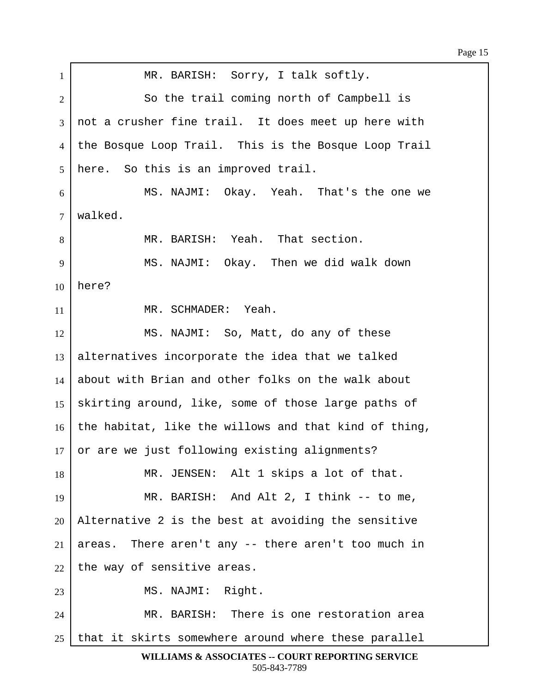| $\mathbf{1}$   | MR. BARISH: Sorry, I talk softly.                     |
|----------------|-------------------------------------------------------|
| $\overline{2}$ | So the trail coming north of Campbell is              |
| 3              | not a crusher fine trail. It does meet up here with   |
| $\overline{4}$ | the Bosque Loop Trail. This is the Bosque Loop Trail  |
| 5              | here. So this is an improved trail.                   |
| 6              | MS. NAJMI: Okay. Yeah. That's the one we              |
| $\overline{7}$ | walked.                                               |
| 8              | MR. BARISH: Yeah. That section.                       |
| 9              | MS. NAJMI: Okay. Then we did walk down                |
| 10             | here?                                                 |
| 11             | MR. SCHMADER: Yeah.                                   |
| 12             | MS. NAJMI: So, Matt, do any of these                  |
| 13             | alternatives incorporate the idea that we talked      |
| 14             | about with Brian and other folks on the walk about    |
| 15             | skirting around, like, some of those large paths of   |
| 16             | the habitat, like the willows and that kind of thing, |
| 17             | or are we just following existing alignments?         |
| 18             | MR. JENSEN: Alt 1 skips a lot of that.                |
| 19             | MR. BARISH: And Alt 2, I think -- to me,              |
| 20             | Alternative 2 is the best at avoiding the sensitive   |
| 21             | areas. There aren't any -- there aren't too much in   |
| 22             | the way of sensitive areas.                           |
| 23             | MS. NAJMI: Right.                                     |
| 24             | MR. BARISH: There is one restoration area             |
| 25             | that it skirts somewhere around where these parallel  |

**WILLIAMS & ASSOCIATES -- COURT REPORTING SERVICE** 505-843-7789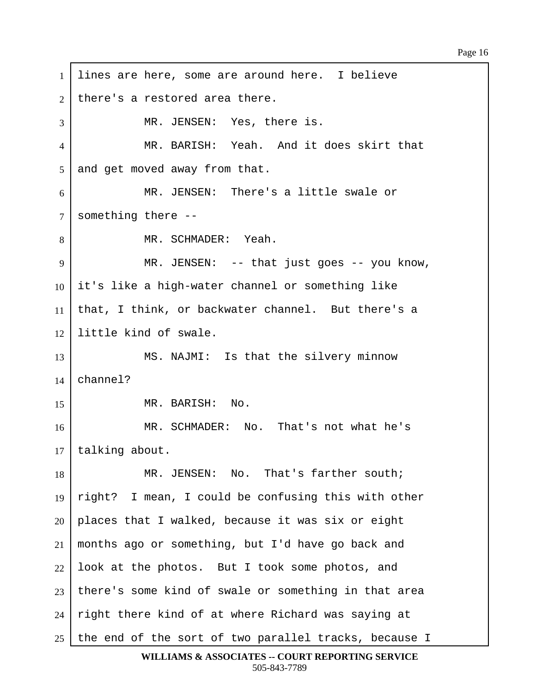Page 16

1 | lines are here, some are around here. I believe  $2$  | there's a restored area there. 3 | THE MR. JENSEN: Yes, there is. ·4· · · · · · · MR. BARISH:··Yeah.··And it does skirt that  $5$  and get moved away from that. 6 MR. JENSEN: There's a little swale or  $7$  something there --8 | MR. SCHMADER: Yeah. ·9· · · · · · · MR. JENSEN:··-- that just goes -- you know,  $10$  it's like a high-water channel or something like 11 | that, I think, or backwater channel. But there's a 12 I little kind of swale. 13 MS. NAJMI: Is that the silvery minnow  $14$  channel?  $15$  **MR. BARISH:** No. 16 **8** MR. SCHMADER: No. That's not what he's 17 | talking about. 18 MR. JENSEN: No. That's farther south; 19  $\lceil$  right? I mean, I could be confusing this with other  $20$  | places that I walked, because it was six or eight  $21$  months ago or something, but I'd have go back and  $22$  look at the photos. But I took some photos, and  $23$  | there's some kind of swale or something in that area  $24$  right there kind of at where Richard was saying at 25  $\vert$  the end of the sort of two parallel tracks, because I

**WILLIAMS & ASSOCIATES -- COURT REPORTING SERVICE** 505-843-7789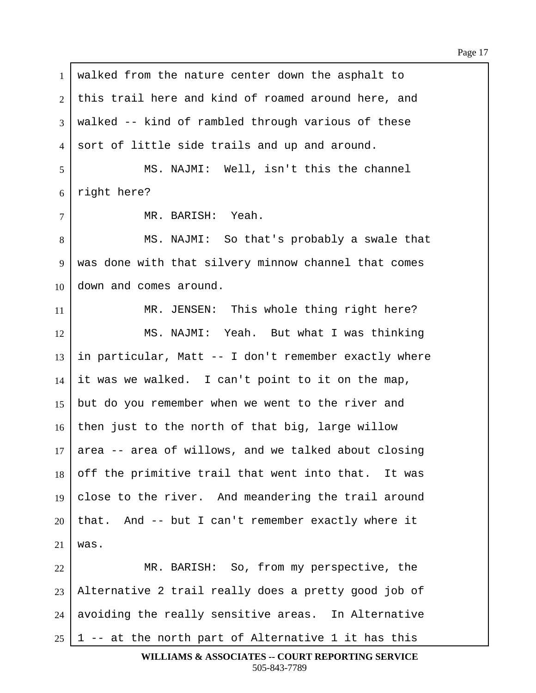1 | walked from the nature center down the asphalt to 2 this trail here and kind of roamed around here, and  $3$  walked -- kind of rambled through various of these 4 sort of little side trails and up and around. 5 | MS. NAJMI: Well, isn't this the channel  $6$  right here? 7 | MR. BARISH: Yeah. 8 | MS. NAJMI: So that's probably a swale that 9 | was done with that silvery minnow channel that comes  $10 \mid$  down and comes around. 11 | MR. JENSEN: This whole thing right here? 12 | MS. NAJMI: Yeah. But what I was thinking  $13$  in particular, Matt -- I don't remember exactly where  $14$  it was we walked. I can't point to it on the map, 15 but do you remember when we went to the river and  $16$  then just to the north of that big, large willow  $17$  area -- area of willows, and we talked about closing  $18$  off the primitive trail that went into that. It was 19  $|$  close to the river. And meandering the trail around  $20$  that. And -- but I can't remember exactly where it  $21$  was. 22 | MR. BARISH: So, from my perspective, the  $23$  | Alternative 2 trail really does a pretty good job of  $24$  avoiding the really sensitive areas. In Alternative 25 | 1 -- at the north part of Alternative 1 it has this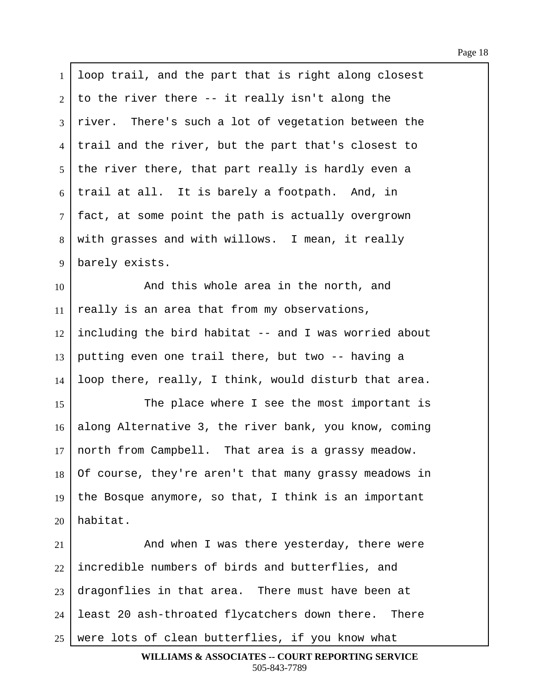1 loop trail, and the part that is right along closest to the river there  $-$ - it really isn't along the river. There's such a lot of vegetation between the 4 I trail and the river, but the part that's closest to | the river there, that part really is hardly even a trail at all. It is barely a footpath. And, in | fact, at some point the path is actually overgrown 8 | with grasses and with willows. I mean, it really 9 | barely exists. **I** and this whole area in the north, and really is an area that from my observations, including the bird habitat  $-$  and I was worried about 13 putting even one trail there, but two  $-$ - having a loop there, really, I think, would disturb that area. 15 The place where I see the most important is 16 along Alternative 3, the river bank, you know, coming north from Campbell. That area is a grassy meadow. Of course, they're aren't that many grassy meadows in 19 | the Bosque anymore, so that, I think is an important | habitat. 21 And when I was there yesterday, there were incredible numbers of birds and butterflies, and dragonflies in that area. There must have been at | least 20 ash-throated flycatchers down there. There

 $25$  were lots of clean butterflies, if you know what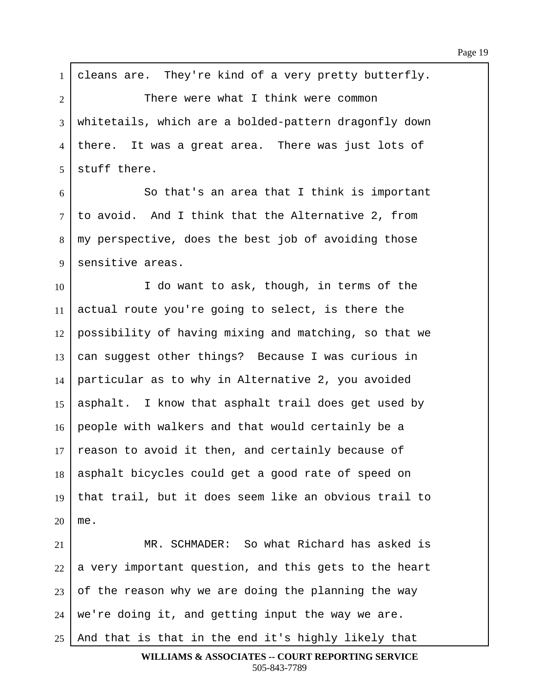$1$  cleans are. They're kind of a very pretty butterfly. 2 There were what I think were common 3 whitetails, which are a bolded-pattern dragonfly down 4 | there. It was a great area. There was just lots of  $5$  stuff there.  $6$   $\vert$  80 that's an area that I think is important 7 | to avoid. And I think that the Alternative 2, from 8 | my perspective, does the best job of avoiding those 9 Sensitive areas. 10 I do want to ask, though, in terms of the  $11$  actual route you're going to select, is there the  $12$  possibility of having mixing and matching, so that we  $13$  can suggest other things? Because I was curious in  $14$  particular as to why in Alternative 2, you avoided 15 | asphalt. I know that asphalt trail does get used by 16 people with walkers and that would certainly be a  $17$  reason to avoid it then, and certainly because of 18 | asphalt bicycles could get a good rate of speed on 19  $\vert$  that trail, but it does seem like an obvious trail to  $20 \mid me.$ 21 WIR. SCHMADER: So what Richard has asked is  $22$  a very important question, and this gets to the heart  $23$  of the reason why we are doing the planning the way  $24$  we're doing it, and getting input the way we are.  $25$  And that is that in the end it's highly likely that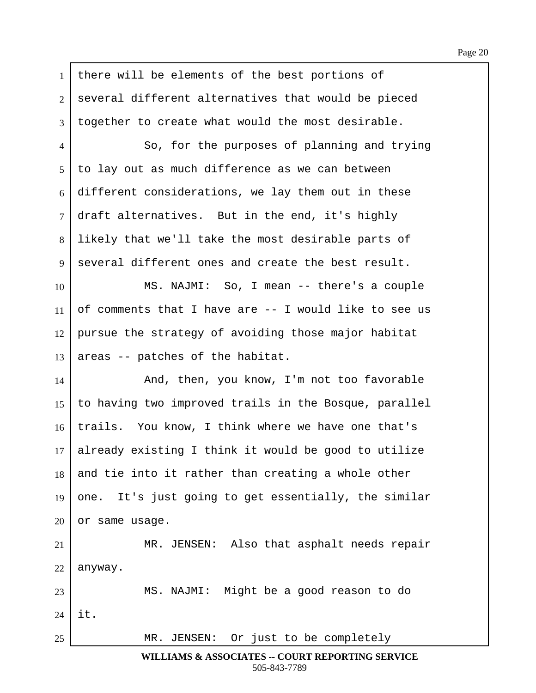1 there will be elements of the best portions of 2 several different alternatives that would be pieced  $3$  boqether to create what would the most desirable. 4 | So, for the purposes of planning and trying  $5/$  to lay out as much difference as we can between  $6$  different considerations, we lay them out in these  $7$  draft alternatives. But in the end, it's highly 8 Iikely that we'll take the most desirable parts of  $9$  several different ones and create the best result. 10 | MS. NAJMI: So, I mean -- there's a couple 11 of comments that I have are  $-$  I would like to see us  $12$  pursue the strategy of avoiding those major habitat  $13$  areas -- patches of the habitat. 14 And, then, you know, I'm not too favorable 15  $\vert$  to having two improved trails in the Bosque, parallel 16 | trails. You know, I think where we have one that's  $17$  already existing I think it would be good to utilize  $18$  and tie into it rather than creating a whole other 19  $\vert$  one. It's just going to get essentially, the similar  $20$  or same usage. 21 | MR. JENSEN: Also that asphalt needs repair  $22$  anyway. 23 | MS. NAJMI: Might be a good reason to do  $24$  | it. 25 MR. JENSEN: Or just to be completely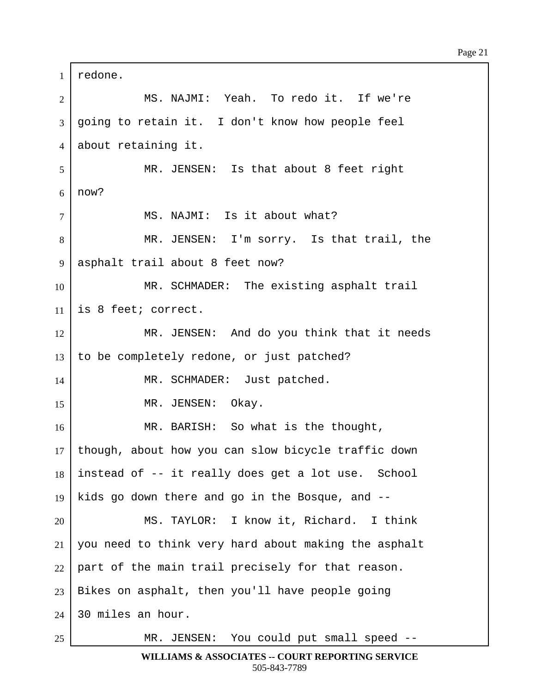1 redone. 2 | MS. NAJMI: Yeah. To redo it. If we're  $3 \mid$  going to retain it. I don't know how people feel 4 about retaining it. 5 MR. JENSEN: Is that about 8 feet right  $6 \mid now?$ 7 | MS. NAJMI: Is it about what? 8 | The MR. JENSEN: I'm sorry. Is that trail, the 9 | asphalt trail about 8 feet now? 10 MR. SCHMADER: The existing asphalt trail  $11$  is 8 feet; correct. 12 MR. JENSEN: And do you think that it needs  $13$  to be completely redone, or just patched? 14 | MR. SCHMADER: Just patched. 15 | MR. JENSEN: Okay. 16 | MR. BARISH: So what is the thought, 17 | though, about how you can slow bicycle traffic down  $18$  instead of  $-$  it really does get a lot use. School 19 | kids go down there and go in the Bosque, and  $-$ -20 MS. TAYLOR: I know it, Richard. I think 21 | you need to think very hard about making the asphalt  $22$  part of the main trail precisely for that reason.  $23$  | Bikes on asphalt, then you'll have people going  $24$  30 miles an hour. 25 | MR. JENSEN: You could put small speed --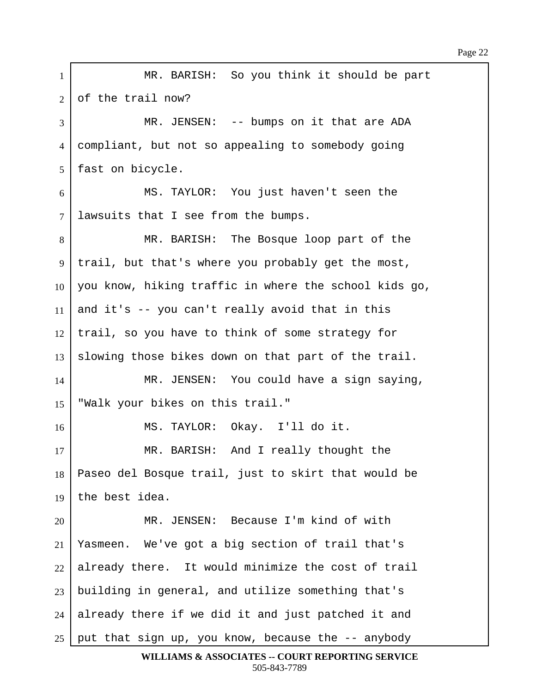1 | MR. BARISH: So you think it should be part  $2$  of the trail now? 3 MR. JENSEN: -- bumps on it that are ADA 4 compliant, but not so appealing to somebody going 5 | fast on bicycle. 6 | MS. TAYLOR: You just haven't seen the  $7$  lawsuits that I see from the bumps. 8 | The Bosque loop part of the Bosque loop part of the 9 | trail, but that's where you probably get the most, 10 | you know, hiking traffic in where the school kids go,  $11$  and it's -- you can't really avoid that in this  $12$  trail, so you have to think of some strategy for 13 Slowing those bikes down on that part of the trail. 14 | MR. JENSEN: You could have a sign saying, 15 | "Walk your bikes on this trail." 16 | MS. TAYLOR: Okay. I'll do it. 17 | MR. BARISH: And I really thought the 18 | Paseo del Bosque trail, just to skirt that would be  $19$  the best idea. 20 MR. JENSEN: Because I'm kind of with  $21$  | Yasmeen. We've got a big section of trail that's  $22$  already there. It would minimize the cost of trail  $23$  building in general, and utilize something that's  $24$  already there if we did it and just patched it and  $25$  put that sign up, you know, because the  $-$  anybody

**WILLIAMS & ASSOCIATES -- COURT REPORTING SERVICE** 505-843-7789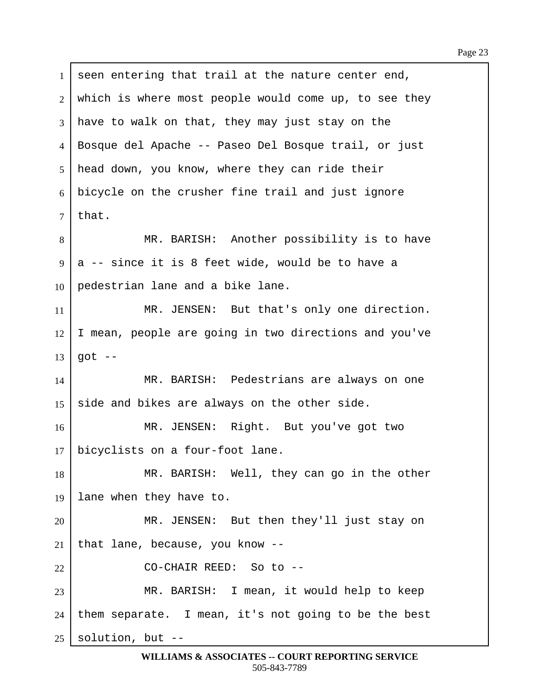1 seen entering that trail at the nature center end, 2 which is where most people would come up, to see they  $3$  have to walk on that, they may just stay on the ·4· ·Bosque del Apache -- Paseo Del Bosque trail, or just 5 | head down, you know, where they can ride their  $6$  bicycle on the crusher fine trail and just ignore  $7$  | that. 8 | MR. BARISH: Another possibility is to have  $9 \mid a$  -- since it is 8 feet wide, would be to have a  $10$  | pedestrian lane and a bike lane. 11 | MR. JENSEN: But that's only one direction. 12 | I mean, people are going in two directions and you've  $13$  got  $-$ 14 | MR. BARISH: Pedestrians are always on one 15  $\vert$  side and bikes are always on the other side. 16 | MR. JENSEN: Right. But you've got two  $17$  bicyclists on a four-foot lane. 18 | MR. BARISH: Well, they can go in the other 19 | lane when they have to. 20 | MR. JENSEN: But then they'll just stay on  $21$  that lane, because, you know --22 | CO-CHAIR REED: So to --23 | MR. BARISH: I mean, it would help to keep  $24$  them separate. I mean, it's not going to be the best  $25$  solution, but  $-$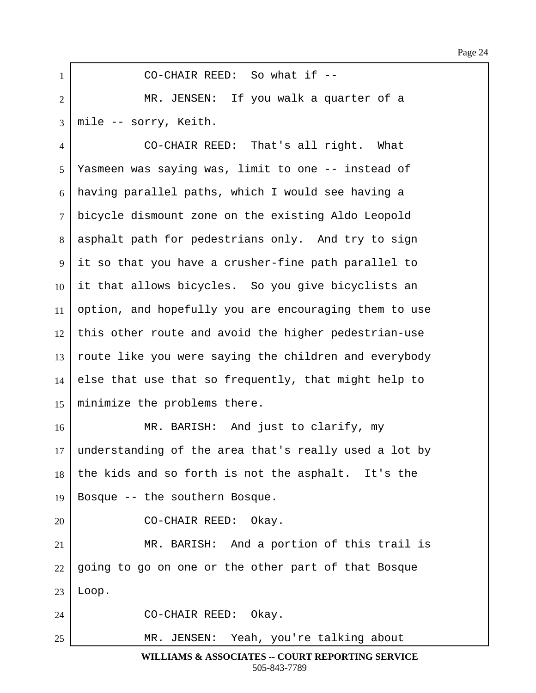| $\mathbf{1}$   | CO-CHAIR REED: So what if --                          |
|----------------|-------------------------------------------------------|
| $\overline{2}$ | MR. JENSEN: If you walk a quarter of a                |
| 3              | mile -- sorry, Keith.                                 |
| 4              | CO-CHAIR REED: That's all right. What                 |
| 5              | Yasmeen was saying was, limit to one -- instead of    |
| 6              | having parallel paths, which I would see having a     |
| $\tau$         | bicycle dismount zone on the existing Aldo Leopold    |
| 8              | asphalt path for pedestrians only. And try to sign    |
| 9              | it so that you have a crusher-fine path parallel to   |
| 10             | it that allows bicycles. So you give bicyclists an    |
| 11             | option, and hopefully you are encouraging them to use |
| 12             | this other route and avoid the higher pedestrian-use  |
| 13             | route like you were saying the children and everybody |
| 14             | else that use that so frequently, that might help to  |
| 15             | minimize the problems there.                          |
| 16             | MR. BARISH: And just to clarify, my                   |
| 17             | understanding of the area that's really used a lot by |
| 18             | the kids and so forth is not the asphalt. It's the    |
| 19             | Bosque -- the southern Bosque.                        |
| 20             | CO-CHAIR REED: Okay.                                  |
| 21             | MR. BARISH: And a portion of this trail is            |
| 22             | going to go on one or the other part of that Bosque   |
| 23             | Loop.                                                 |
| 24             | CO-CHAIR REED: Okay.                                  |
| 25             | MR. JENSEN: Yeah, you're talking about                |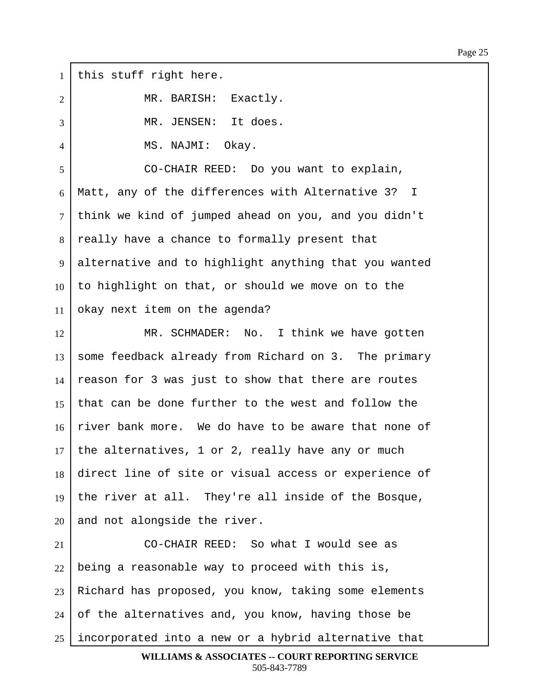$1$  this stuff right here. 2 | MR. BARISH: Exactly. 3 | MR. JENSEN: It does. ·4· · · · · · · MS. NAJMI:··Okay. 5 CO-CHAIR REED: Do you want to explain,  $6$  | Matt, any of the differences with Alternative 3? I 7 | think we kind of jumped ahead on you, and you didn't 8 really have a chance to formally present that 9 alternative and to highlight anything that you wanted  $10$  to highlight on that, or should we move on to the 11 okay next item on the agenda? 12 MR. SCHMADER: No. I think we have gotten  $13$  some feedback already from Richard on 3. The primary  $14$  reason for 3 was just to show that there are routes 15 that can be done further to the west and follow the  $16$  river bank more. We do have to be aware that none of  $17$  the alternatives, 1 or 2, really have any or much 18 direct line of site or visual access or experience of 19 | the river at all. They're all inside of the Bosque,  $20$  and not alongside the river. 21 CO-CHAIR REED: So what I would see as  $22$  being a reasonable way to proceed with this is,  $23$  Richard has proposed, you know, taking some elements  $24$  of the alternatives and, you know, having those be  $25$  incorporated into a new or a hybrid alternative that **WILLIAMS & ASSOCIATES -- COURT REPORTING SERVICE**

505-843-7789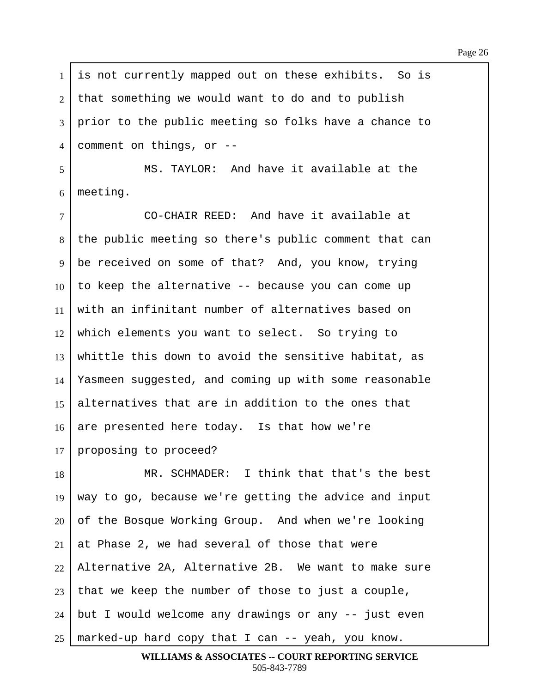$1$  is not currently mapped out on these exhibits. So is  $2$  that something we would want to do and to publish 3 | prior to the public meeting so folks have a chance to 4 comment on things, or --5 | MS. TAYLOR: And have it available at the  $6$  | meeting. 7 | CO-CHAIR REED: And have it available at 8 the public meeting so there's public comment that can 9 be received on some of that? And, you know, trying  $10$  to keep the alternative  $-$ - because you can come up 11  $\vert$  with an infinitant number of alternatives based on  $12$  which elements you want to select. So trying to 13 whittle this down to avoid the sensitive habitat, as 14 Yasmeen suggested, and coming up with some reasonable 15 alternatives that are in addition to the ones that  $16$  are presented here today. Is that how we're 17 proposing to proceed? 18 | MR. SCHMADER: I think that that's the best  $19$  way to go, because we're getting the advice and input  $20$  of the Bosque Working Group. And when we're looking  $21$  at Phase 2, we had several of those that were  $22$  Alternative 2A, Alternative 2B. We want to make sure  $23$  that we keep the number of those to just a couple,  $24$  | but I would welcome any drawings or any  $-$  just even  $25$  marked-up hard copy that I can  $-$ - yeah, you know.

**WILLIAMS & ASSOCIATES -- COURT REPORTING SERVICE** 505-843-7789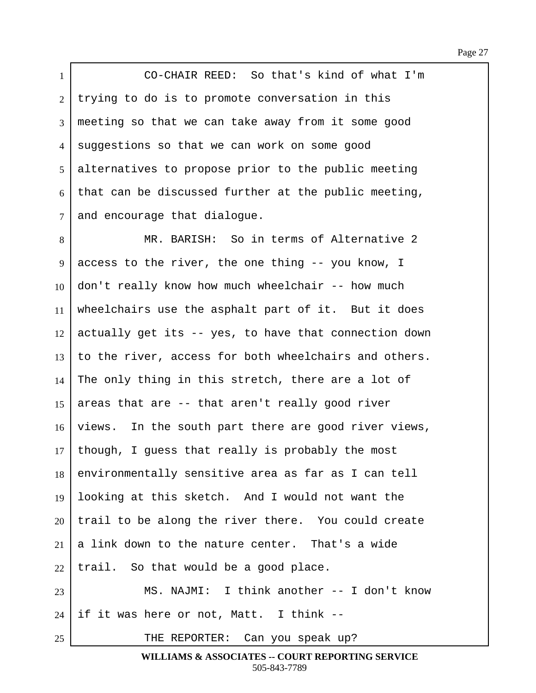1 **CO-CHAIR REED:** So that's kind of what I'm 2 trying to do is to promote conversation in this  $3 \mid$  meeting so that we can take away from it some good 4 suggestions so that we can work on some good 5 alternatives to propose prior to the public meeting  $6$  that can be discussed further at the public meeting,  $7$  and encourage that dialogue.

8 | MR. BARISH: So in terms of Alternative 2  $9 \mid$  access to the river, the one thing -- you know, I  $10$  don't really know how much wheelchair  $-$ - how much 11 | wheelchairs use the asphalt part of it. But it does  $12$  actually get its -- yes, to have that connection down  $13$  to the river, access for both wheelchairs and others.  $14$  The only thing in this stretch, there are a lot of 15 areas that are  $-$ - that aren't really good river 16 views. In the south part there are good river views,  $17$  though, I guess that really is probably the most 18 environmentally sensitive area as far as I can tell 19  $\vert$  looking at this sketch. And I would not want the  $20$  trail to be along the river there. You could create  $21$ <sup>|</sup> a link down to the nature center. That's a wide  $22$  | trail. So that would be a good place. 23 | MS. NAJMI: I think another -- I don't know  $24$  if it was here or not, Matt. I think --

25 | THE REPORTER: Can you speak up?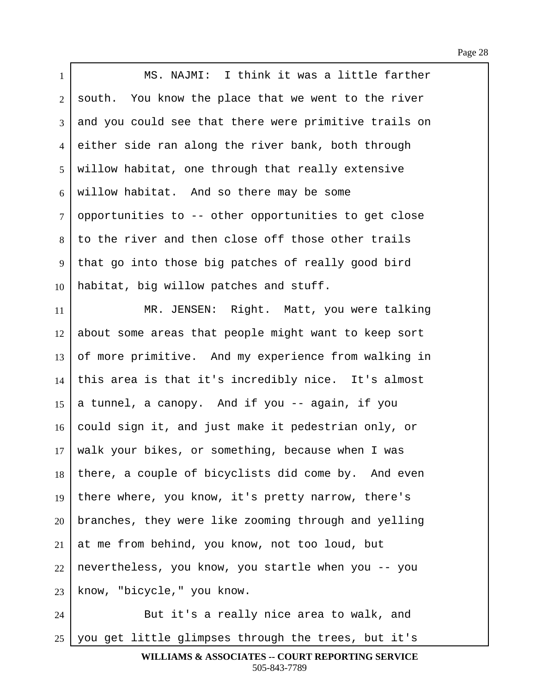Page 28

| $\mathbf{1}$   | MS. NAJMI: I think it was a little farther            |
|----------------|-------------------------------------------------------|
| $\overline{2}$ | south. You know the place that we went to the river   |
| 3              | and you could see that there were primitive trails on |
| $\overline{4}$ | either side ran along the river bank, both through    |
| 5              | willow habitat, one through that really extensive     |
| 6              | willow habitat. And so there may be some              |
| $\overline{7}$ | opportunities to -- other opportunities to get close  |
| 8              | to the river and then close off those other trails    |
| 9              | that go into those big patches of really good bird    |
| 10             | habitat, big willow patches and stuff.                |
| 11             | MR. JENSEN: Right. Matt, you were talking             |
| 12             | about some areas that people might want to keep sort  |
| 13             | of more primitive. And my experience from walking in  |
| 14             | this area is that it's incredibly nice. It's almost   |
| 15             | a tunnel, a canopy. And if you -- again, if you       |
| 16             | could sign it, and just make it pedestrian only, or   |
| 17             | walk your bikes, or something, because when I was     |
| 18             | there, a couple of bicyclists did come by. And even   |
| 19             | there where, you know, it's pretty narrow, there's    |
| 20             | branches, they were like zooming through and yelling  |
| 21             | at me from behind, you know, not too loud, but        |
| 22             | nevertheless, you know, you startle when you -- you   |
| 23             | know, "bicycle," you know.                            |
| 24             | But it's a really nice area to walk, and              |

25 | you get little glimpses through the trees, but it's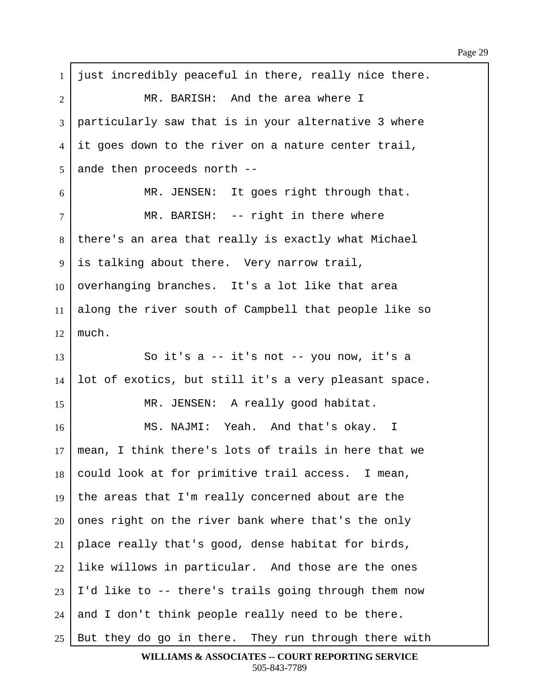| $\mathbf{1}$   | just incredibly peaceful in there, really nice there. |
|----------------|-------------------------------------------------------|
| $\overline{2}$ | MR. BARISH: And the area where I                      |
| 3              | particularly saw that is in your alternative 3 where  |
| 4              | it goes down to the river on a nature center trail,   |
| 5              | ande then proceeds north --                           |
| 6              | MR. JENSEN: It goes right through that.               |
| $\overline{7}$ | MR. BARISH: -- right in there where                   |
| 8              | there's an area that really is exactly what Michael   |
| 9              | is talking about there. Very narrow trail,            |
| 10             | overhanging branches. It's a lot like that area       |
| 11             | along the river south of Campbell that people like so |
| 12             | much.                                                 |
| 13             | So it's a -- it's not -- you now, it's a              |
| 14             | lot of exotics, but still it's a very pleasant space. |
| 15             | MR. JENSEN: A really good habitat.                    |
| 16             | MS. NAJMI: Yeah. And that's okay. I                   |
| 17             | mean, I think there's lots of trails in here that we  |
| 18             | could look at for primitive trail access. I mean,     |
| 19             | the areas that I'm really concerned about are the     |
| 20             | ones right on the river bank where that's the only    |
| 21             | place really that's good, dense habitat for birds,    |
| 22             | like willows in particular. And those are the ones    |
| 23             | I'd like to -- there's trails going through them now  |
| 24             | and I don't think people really need to be there.     |
| 25             | But they do go in there. They run through there with  |

**WILLIAMS & ASSOCIATES -- COURT REPORTING SERVICE** 505-843-7789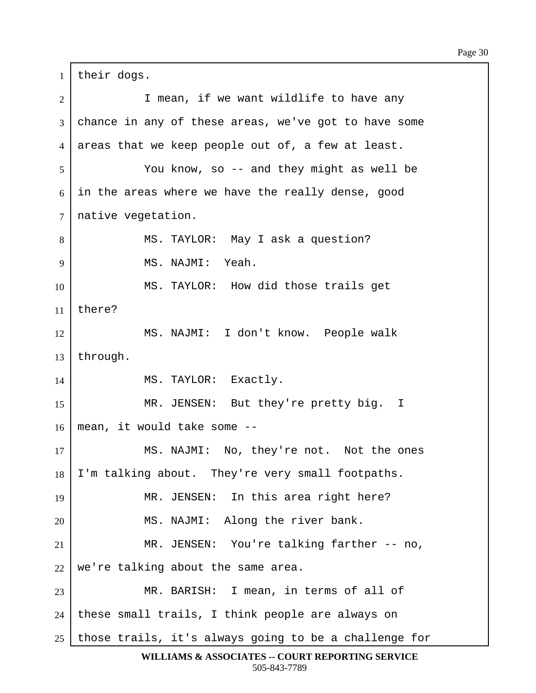$1$  their dogs. 2 | Thean, if we want wildlife to have any 3 chance in any of these areas, we've got to have some  $4$  areas that we keep people out of, a few at least. ·5· · · · · · · You know, so -- and they might as well be  $6$  in the areas where we have the really dense, good  $7$  native vegetation. 8 | MS. TAYLOR: May I ask a question? 9 | MS. NAJMI: Yeah. 10 | MS. TAYLOR: How did those trails get 11  $|$  there? 12 | MS. NAJMI: I don't know. People walk  $13$  through. 14 | MS. TAYLOR: Exactly. 15 | MR. JENSEN: But they're pretty big. I  $16$  | mean, it would take some --17 MS. NAJMI: No, they're not. Not the ones  $18$  | I'm talking about. They're very small footpaths. 19 | MR. JENSEN: In this area right here? 20 | MS. NAJMI: Along the river bank. 21 | MR. JENSEN: You're talking farther -- no,  $22$  we're talking about the same area. 23 MR. BARISH: I mean, in terms of all of  $24$  | these small trails, I think people are always on  $25$  those trails, it's always going to be a challenge for

**WILLIAMS & ASSOCIATES -- COURT REPORTING SERVICE** 505-843-7789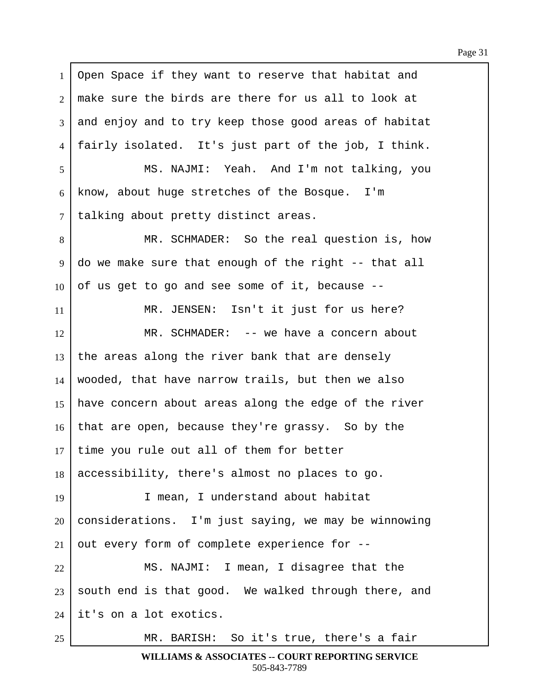1 | Open Space if they want to reserve that habitat and  $2 \mid$  make sure the birds are there for us all to look at 3 and enjoy and to try keep those good areas of habitat 4  $\vert$  fairly isolated. It's just part of the job, I think. 5 | MS. NAJMI: Yeah. And I'm not talking, you  $6$  know, about huge stretches of the Bosque. I'm 7 | talking about pretty distinct areas. 8 | The SCHMADER: So the real question is, how  $9 \mid$  do we make sure that enough of the right  $-$ - that all  $10$  of us get to go and see some of it, because  $-$ -11 | MR. JENSEN: Isn't it just for us here? 12 MR. SCHMADER: -- we have a concern about  $13$  the areas along the river bank that are densely  $14$  wooded, that have narrow trails, but then we also 15 | have concern about areas along the edge of the river  $16$  that are open, because they're grassy. So by the  $17$  time you rule out all of them for better  $18$  accessibility, there's almost no places to go. 19 I mean, I understand about habitat  $20$  considerations. I'm just saying, we may be winnowing  $21$  out every form of complete experience for  $-$ -22 | MS. NAJMI: I mean, I disagree that the  $23$  south end is that good. We walked through there, and  $24$  it's on a lot exotics. 25 MR. BARISH: So it's true, there's a fair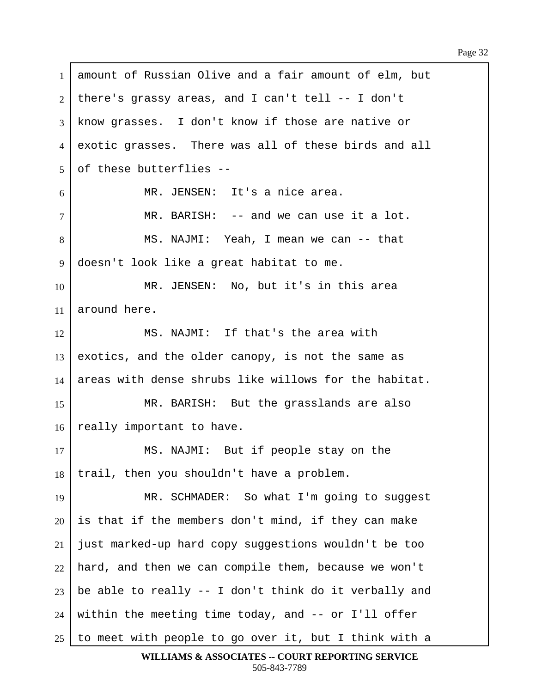1 amount of Russian Olive and a fair amount of elm, but  $2$  | there's grassy areas, and I can't tell -- I don't 3 know grasses. I don't know if those are native or 4 exotic grasses. There was all of these birds and all  $5$  of these butterflies  $6$  | MR. JENSEN: It's a nice area. 7 | The MR. BARISH: -- and we can use it a lot. 8 | MS. NAJMI: Yeah, I mean we can -- that 9 doesn't look like a great habitat to me. 10 MR. JENSEN: No, but it's in this area 11  $\vert$  around here. 12 MS. NAJMI: If that's the area with  $13$  exotics, and the older canopy, is not the same as 14 areas with dense shrubs like willows for the habitat. 15 | MR. BARISH: But the grasslands are also 16 really important to have. 17 | MS. NAJMI: But if people stay on the  $18$  | trail, then you shouldn't have a problem. 19 | MR. SCHMADER: So what I'm going to suggest  $20$  is that if the members don't mind, if they can make  $21$  just marked-up hard copy suggestions wouldn't be too  $22$  hard, and then we can compile them, because we won't 23 be able to really  $-$  I don't think do it verbally and  $24$  within the meeting time today, and  $-$  or I'll offer 25  $\vert$  to meet with people to go over it, but I think with a

```
WILLIAMS & ASSOCIATES -- COURT REPORTING SERVICE
        505-843-7789
```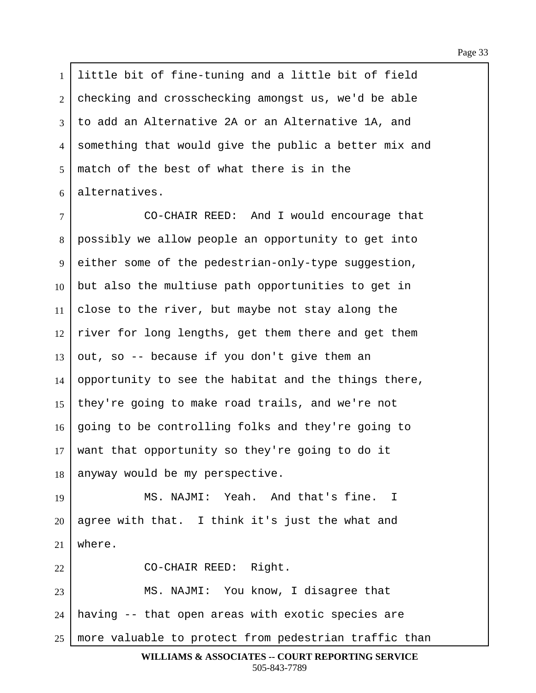1 Iittle bit of fine-tuning and a little bit of field 2 checking and crosschecking amongst us, we'd be able  $3$   $\vert$  to add an Alternative 2A or an Alternative 1A, and 4 something that would give the public a better mix and  $5 \mid$  match of the best of what there is in the  $6$  alternatives.

·7· · · · · · · CO-CHAIR REED:··And I would encourage that 8 | possibly we allow people an opportunity to get into 9 either some of the pedestrian-only-type suggestion,  $10$  but also the multiuse path opportunities to get in 11  $\vert$  close to the river, but maybe not stay along the  $12$  river for long lengths, get them there and get them  $13$  out, so -- because if you don't give them an 14 opportunity to see the habitat and the things there, 15 | they're going to make road trails, and we're not 16 | going to be controlling folks and they're going to  $17$  want that opportunity so they're going to do it  $18$  anyway would be my perspective.

19 | MS. NAJMI: Yeah. And that's fine. I  $20$  agree with that. I think it's just the what and  $21$  where.

22 | CO-CHAIR REED: Right. 23 | MS. NAJMI: You know, I disagree that  $24$  | having -- that open areas with exotic species are  $25$  more valuable to protect from pedestrian traffic than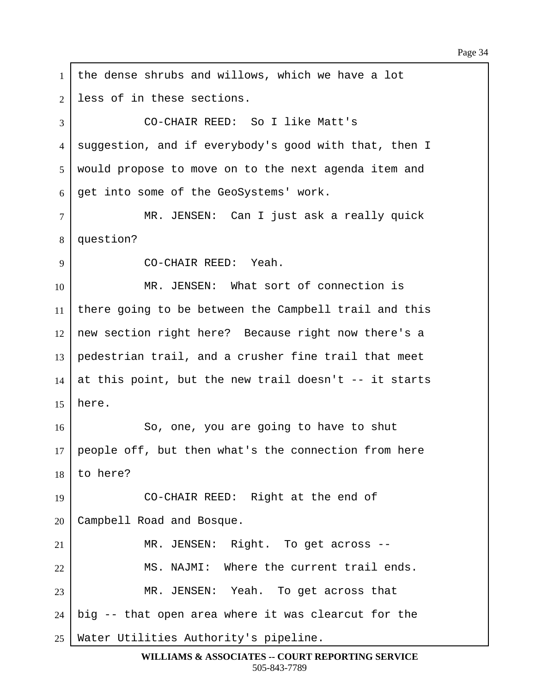1  $\vert$  the dense shrubs and willows, which we have a lot 2 less of in these sections. 3 CO-CHAIR REED: So I like Matt's 4 suggestion, and if everybody's good with that, then I 5 | would propose to move on to the next agenda item and  $6 \mid$  get into some of the GeoSystems' work. 7 | MR. JENSEN: Can I just ask a really quick 8 | question? ·9· · · · · · · CO-CHAIR REED:··Yeah. 10· · · · · · · MR. JENSEN:··What sort of connection is 11 | there going to be between the Campbell trail and this  $12$  new section right here? Because right now there's a 13 pedestrian trail, and a crusher fine trail that meet 14 at this point, but the new trail doesn't  $-$ - it starts  $15$  here. 16· · · · · · · So, one, you are going to have to shut 17 people off, but then what's the connection from here  $18$  to here? 19 CO-CHAIR REED: Right at the end of 20 | Campbell Road and Bosque. 21 | MR. JENSEN: Right. To get across --22 MS. NAJMI: Where the current trail ends. 23 | MR. JENSEN: Yeah. To get across that  $24$  | big  $-$  that open area where it was clearcut for the  $25$  Water Utilities Authority's pipeline.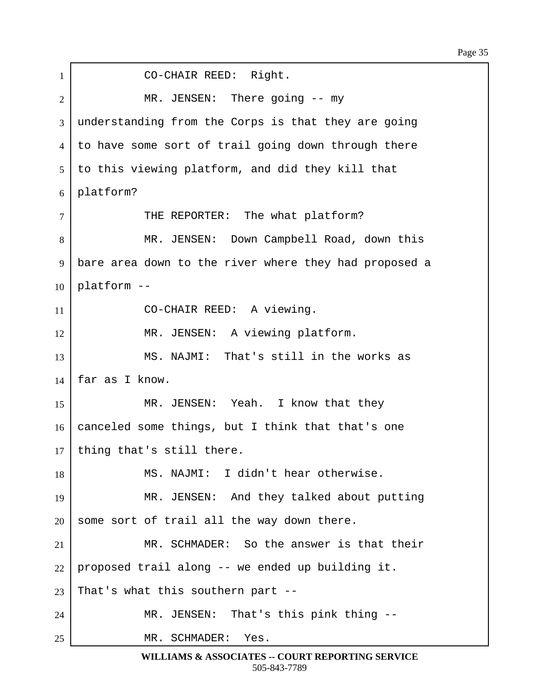| $\mathbf{1}$   | CO-CHAIR REED: Right.                                 |
|----------------|-------------------------------------------------------|
| $\overline{2}$ | MR. JENSEN: There going -- my                         |
| 3              | understanding from the Corps is that they are going   |
| $\overline{4}$ | to have some sort of trail going down through there   |
| 5              | to this viewing platform, and did they kill that      |
| 6              | platform?                                             |
| $\overline{7}$ | THE REPORTER: The what platform?                      |
| 8              | MR. JENSEN: Down Campbell Road, down this             |
| 9              | bare area down to the river where they had proposed a |
| 10             | platform --                                           |
| 11             | CO-CHAIR REED: A viewing.                             |
| 12             | MR. JENSEN: A viewing platform.                       |
| 13             | MS. NAJMI: That's still in the works as               |
| 14             | far as I know.                                        |
| 15             | MR. JENSEN: Yeah. I know that they                    |
| 16             | canceled some things, but I think that that's one     |
| 17             | thing that's still there.                             |
| 18             | MS. NAJMI: I didn't hear otherwise.                   |
| 19             | MR. JENSEN: And they talked about putting             |
| 20             | some sort of trail all the way down there.            |
| 21             | MR. SCHMADER: So the answer is that their             |
| 22             | proposed trail along -- we ended up building it.      |
| 23             | That's what this southern part --                     |
| 24             | MR. JENSEN: That's this pink thing --                 |
| 25             | MR. SCHMADER: Yes.                                    |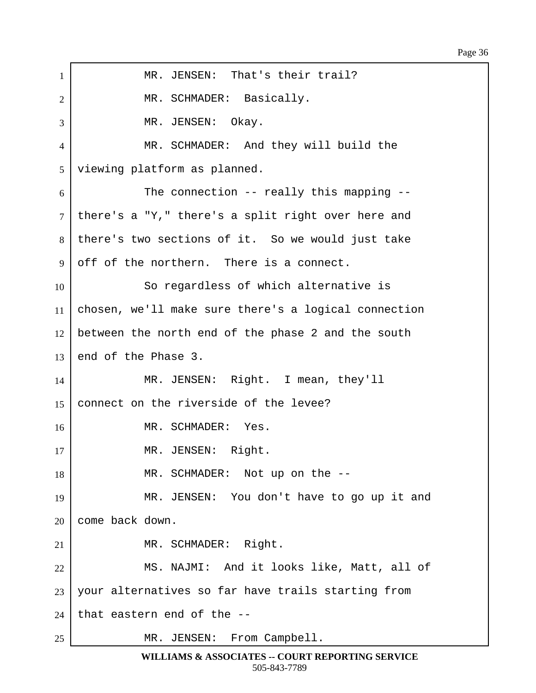## Page 36

1 | MR. JENSEN: That's their trail? 2 | The MR. SCHMADER: Basically.  $\overline{3}$  | MR. JENSEN: Okay. 4 MR. SCHMADER: And they will build the 5 | viewing platform as planned.  $6$   $\vert$  The connection -- really this mapping -- $7$  there's a "Y," there's a split right over here and  $8$  there's two sections of it. So we would just take  $9$  off of the northern. There is a connect. 10 So regardless of which alternative is 11 | chosen, we'll make sure there's a logical connection  $12$  between the north end of the phase 2 and the south  $13$  end of the Phase 3. 14 MR. JENSEN: Right. I mean, they'll 15 connect on the riverside of the levee? 16 MR. SCHMADER: Yes. 17 | MR. JENSEN: Right. 18 | MR. SCHMADER: Not up on the --19 | MR. JENSEN: You don't have to go up it and  $20$  come back down. 21 | MR. SCHMADER: Right. 22 | MS. NAJMI: And it looks like, Matt, all of 23 | your alternatives so far have trails starting from  $24$  that eastern end of the  $-$ -25 | MR. JENSEN: From Campbell.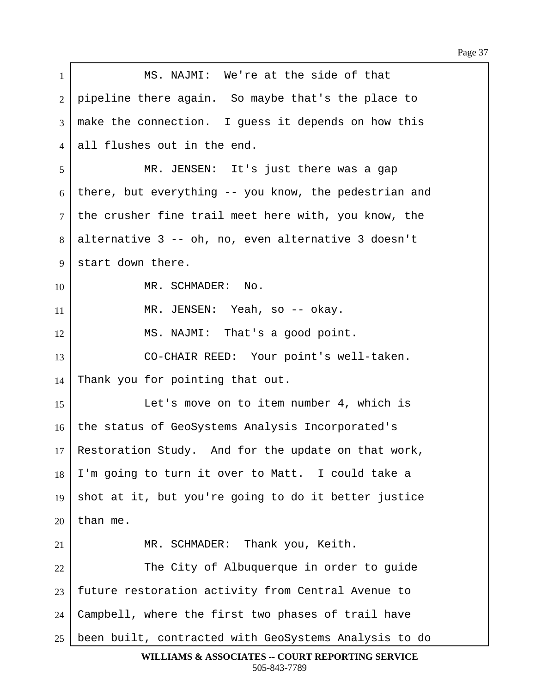1 | MS. NAJMI: We're at the side of that 2 | pipeline there again. So maybe that's the place to  $3 \mid$  make the connection. I quess it depends on how this 4 all flushes out in the end. 5 MR. JENSEN: It's just there was a gap 6 there, but everything  $-$  you know, the pedestrian and  $7$  the crusher fine trail meet here with, you know, the  $8$  alternative 3 -- oh, no, even alternative 3 doesn't 9 start down there. 10 MR. SCHMADER: No. 11 | MR. JENSEN: Yeah, so -- okay. 12 | MS. NAJMI: That's a good point. 13 CO-CHAIR REED: Your point's well-taken. 14 Thank you for pointing that out. 15 | Let's move on to item number 4, which is 16 the status of GeoSystems Analysis Incorporated's 17 Restoration Study. And for the update on that work,  $18$  | I'm going to turn it over to Matt. I could take a 19  $\vert$  shot at it, but you're going to do it better justice  $20$  than me. 21 | MR. SCHMADER: Thank you, Keith. 22 | The City of Albuquerque in order to guide 23 | future restoration activity from Central Avenue to 24 Campbell, where the first two phases of trail have 25 | been built, contracted with GeoSystems Analysis to do **WILLIAMS & ASSOCIATES -- COURT REPORTING SERVICE**

505-843-7789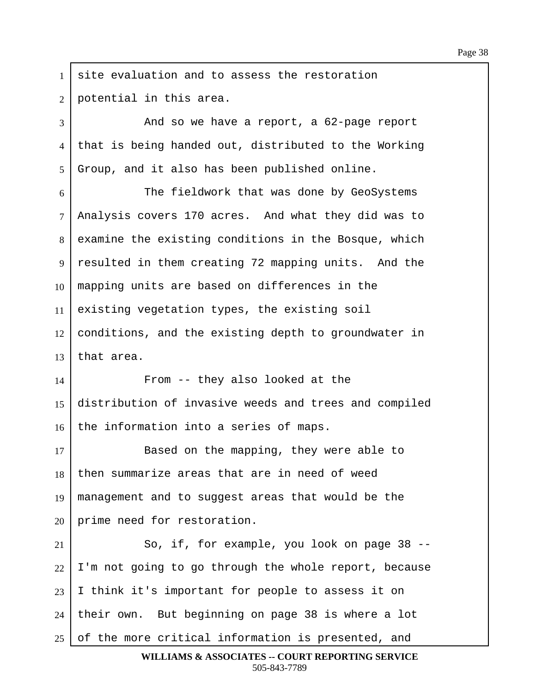$1$  site evaluation and to assess the restoration 2 | potential in this area. 3 And so we have a report, a 62-page report

4 that is being handed out, distributed to the Working  $5$  Group, and it also has been published online.

6 The fieldwork that was done by GeoSystems 7 | Analysis covers 170 acres. And what they did was to  $8$  examine the existing conditions in the Bosque, which 9 | resulted in them creating 72 mapping units. And the 10 | mapping units are based on differences in the  $11$  existing vegetation types, the existing soil  $12$  conditions, and the existing depth to groundwater in  $13$  that area.

14 From -- they also looked at the 15 distribution of invasive weeds and trees and compiled  $16$  | the information into a series of maps.

17 Based on the mapping, they were able to  $18$  then summarize areas that are in need of weed 19 | management and to suggest areas that would be the  $20$  prime need for restoration.

 So, if, for example, you look on page 38 -- I'm not going to go through the whole report, because I think it's important for people to assess it on | their own. But beginning on page 38 is where a lot of the more critical information is presented, and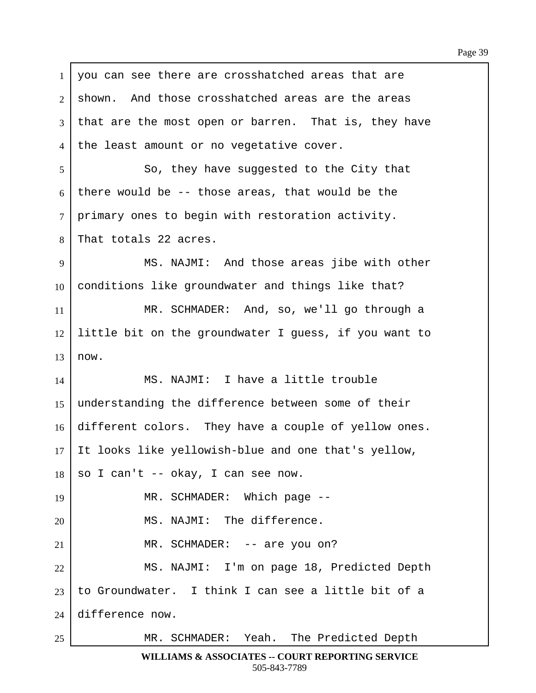| $\mathbf{1}$   | you can see there are crosshatched areas that are     |
|----------------|-------------------------------------------------------|
| 2              | shown. And those crosshatched areas are the areas     |
| 3              | that are the most open or barren. That is, they have  |
| $\overline{4}$ | the least amount or no vegetative cover.              |
| 5              | So, they have suggested to the City that              |
| 6              | there would be -- those areas, that would be the      |
| $\tau$         | primary ones to begin with restoration activity.      |
| 8              | That totals 22 acres.                                 |
| 9              | MS. NAJMI: And those areas jibe with other            |
| 10             | conditions like groundwater and things like that?     |
| 11             | MR. SCHMADER: And, so, we'll go through a             |
| 12             | little bit on the groundwater I guess, if you want to |
| 13             | now.                                                  |
| 14             | MS. NAJMI: I have a little trouble                    |
| 15             | understanding the difference between some of their    |
| 16             | different colors. They have a couple of yellow ones.  |
| 17             | It looks like yellowish-blue and one that's yellow,   |
| 18             | so I can't -- okay, I can see now.                    |
| 19             | MR. SCHMADER: Which page --                           |
| 20             | MS. NAJMI: The difference.                            |
| 21             | MR. SCHMADER: -- are you on?                          |
| 22             | MS. NAJMI: I'm on page 18, Predicted Depth            |
| 23             | to Groundwater. I think I can see a little bit of a   |
| 24             | difference now.                                       |
| 25             | MR. SCHMADER: Yeah. The Predicted Depth               |

Г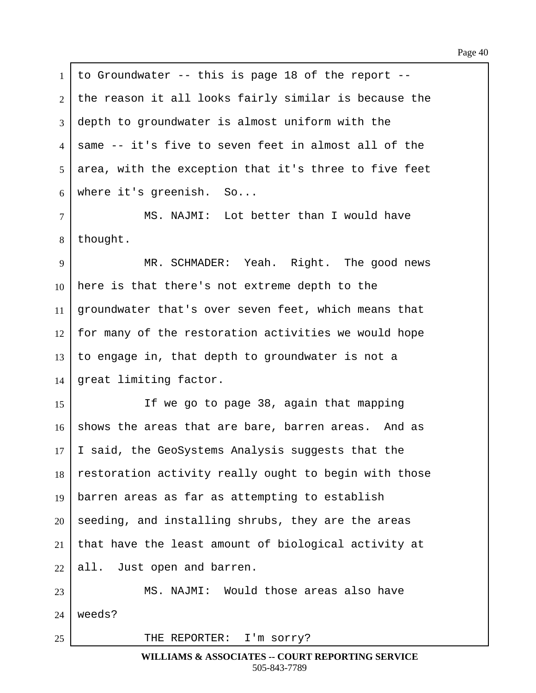$1$  to Groundwater -- this is page 18 of the report -- $2$  the reason it all looks fairly similar is because the  $3$  depth to groundwater is almost uniform with the ·4· ·same -- it's five to seven feet in almost all of the  $5$  area, with the exception that it's three to five feet  $6$  where it's greenish. So... 7 | MS. NAJMI: Lot better than I would have  $8$  | thought. 9 | MR. SCHMADER: Yeah. Right. The good news  $10$  here is that there's not extreme depth to the 11 | groundwater that's over seven feet, which means that  $12$  for many of the restoration activities we would hope  $13$  to engage in, that depth to groundwater is not a  $14$  great limiting factor. 15 If we go to page 38, again that mapping  $16$  shows the areas that are bare, barren areas. And as  $17$  | I said, the GeoSystems Analysis suggests that the  $18$  restoration activity really ought to begin with those 19 | barren areas as far as attempting to establish  $20$  seeding, and installing shrubs, they are the areas 21 | that have the least amount of biological activity at  $22$  all. Just open and barren. 23· · · · · · · MS. NAJMI:··Would those areas also have  $24$  weeds? 25 | THE REPORTER: I'm sorry?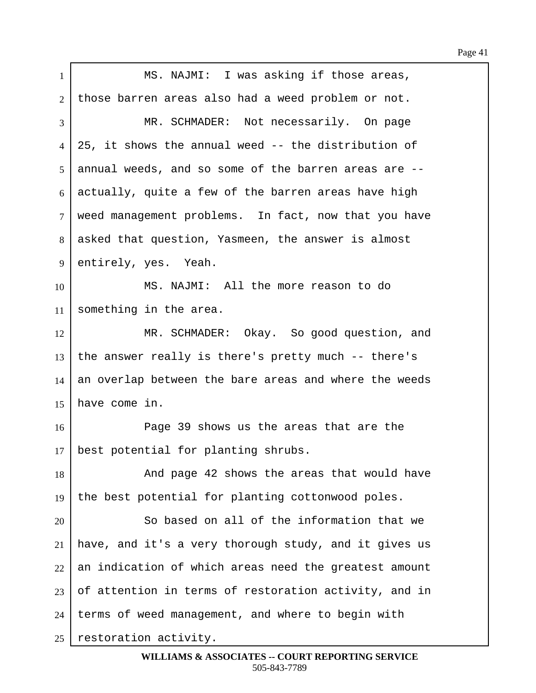| $\mathbf{1}$ | MS. NAJMI: I was asking if those areas,               |
|--------------|-------------------------------------------------------|
| 2            | those barren areas also had a weed problem or not.    |
| 3            | MR. SCHMADER: Not necessarily. On page                |
| 4            | 25, it shows the annual weed -- the distribution of   |
| 5            | annual weeds, and so some of the barren areas are --  |
| 6            | actually, quite a few of the barren areas have high   |
| $\tau$       | weed management problems. In fact, now that you have  |
| 8            | asked that question, Yasmeen, the answer is almost    |
| 9            | entirely, yes. Yeah.                                  |
| 10           | MS. NAJMI: All the more reason to do                  |
| 11           | something in the area.                                |
| 12           | MR. SCHMADER: Okay. So good question, and             |
| 13           | the answer really is there's pretty much -- there's   |
| 14           | an overlap between the bare areas and where the weeds |
| 15           | have come in.                                         |
| 16           | Page 39 shows us the areas that are the               |
| 17           | best potential for planting shrubs.                   |
| 18           | And page 42 shows the areas that would have           |
| 19           | the best potential for planting cottonwood poles.     |
| 20           | So based on all of the information that we            |
| 21           | have, and it's a very thorough study, and it gives us |
| 22           | an indication of which areas need the greatest amount |
| 23           | of attention in terms of restoration activity, and in |
| 24           | terms of weed management, and where to begin with     |
| 25           | restoration activity.                                 |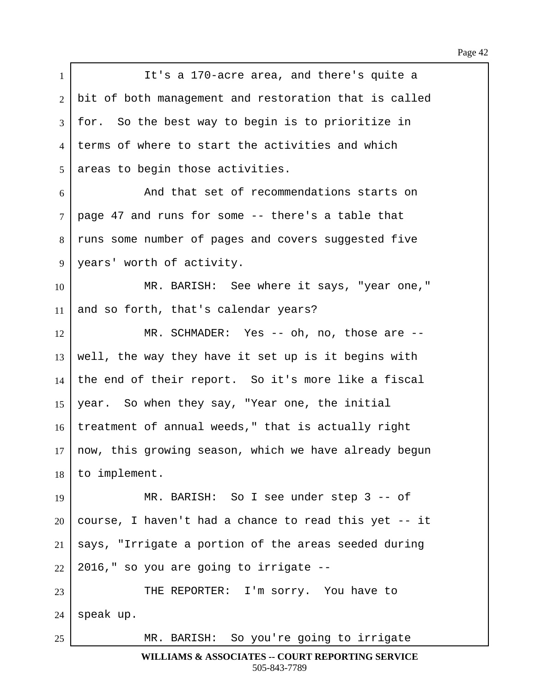| $\mathbf{1}$ | It's a 170-acre area, and there's quite a             |
|--------------|-------------------------------------------------------|
| 2            | bit of both management and restoration that is called |
| 3            | for. So the best way to begin is to prioritize in     |
| 4            | terms of where to start the activities and which      |
| 5            | areas to begin those activities.                      |
| 6            | And that set of recommendations starts on             |
| $\tau$       | page 47 and runs for some -- there's a table that     |
| 8            | runs some number of pages and covers suggested five   |
| 9            | years' worth of activity.                             |
| 10           | MR. BARISH: See where it says, "year one,"            |
| 11           | and so forth, that's calendar years?                  |
| 12           | MR. SCHMADER: Yes -- oh, no, those are --             |
| 13           | well, the way they have it set up is it begins with   |
| 14           | the end of their report. So it's more like a fiscal   |
| 15           | year. So when they say, "Year one, the initial        |
| 16           | treatment of annual weeds," that is actually right    |
| 17           | now, this growing season, which we have already begun |
| 18           | to implement.                                         |
| 19           | MR. BARISH: So I see under step 3 -- of               |
| 20           | course, I haven't had a chance to read this yet -- it |
| 21           | says, "Irrigate a portion of the areas seeded during  |
| 22           | 2016," so you are going to irrigate --                |
| 23           | THE REPORTER: I'm sorry. You have to                  |
| 24           | speak up.                                             |
| 25           | MR. BARISH: So you're going to irrigate               |

Г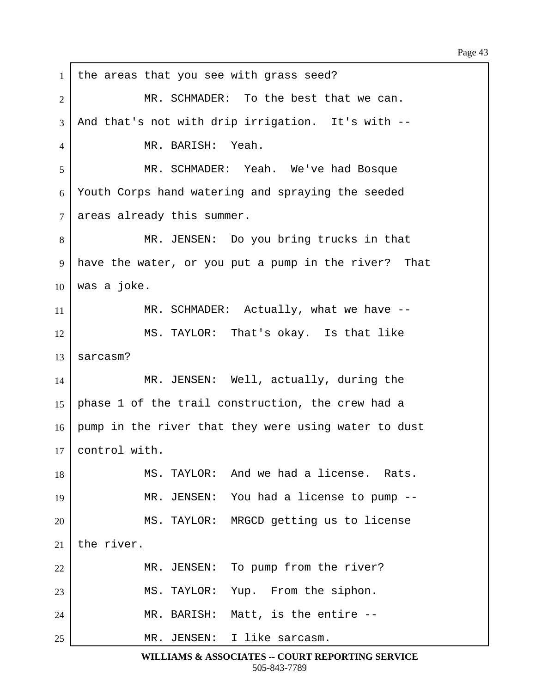1 | the areas that you see with grass seed? 2 MR. SCHMADER: To the best that we can.  $3$  | And that's not with drip irrigation. It's with  $-$ -4 NR. BARISH: Yeah. 5 | MR. SCHMADER: Yeah. We've had Bosque  $6$  Youth Corps hand watering and spraying the seeded  $7$  areas already this summer. 8 | THE MR. JENSEN: Do you bring trucks in that 9 | have the water, or you put a pump in the river? That  $10$  was a joke. 11 MR. SCHMADER: Actually, what we have --12 MS. TAYLOR: That's okay. Is that like  $13$  sarcasm? 14 MR. JENSEN: Well, actually, during the 15 | phase 1 of the trail construction, the crew had a 16 | pump in the river that they were using water to dust  $17$  control with. 18 | MS. TAYLOR: And we had a license. Rats. 19 | MR. JENSEN: You had a license to pump --20 | MS. TAYLOR: MRGCD getting us to license  $21$  the river. 22 | MR. JENSEN: To pump from the river? 23 | MS. TAYLOR: Yup. From the siphon. 24 | MR. BARISH: Matt, is the entire --25 | THE SALE MR. JENSEN: I like sarcasm.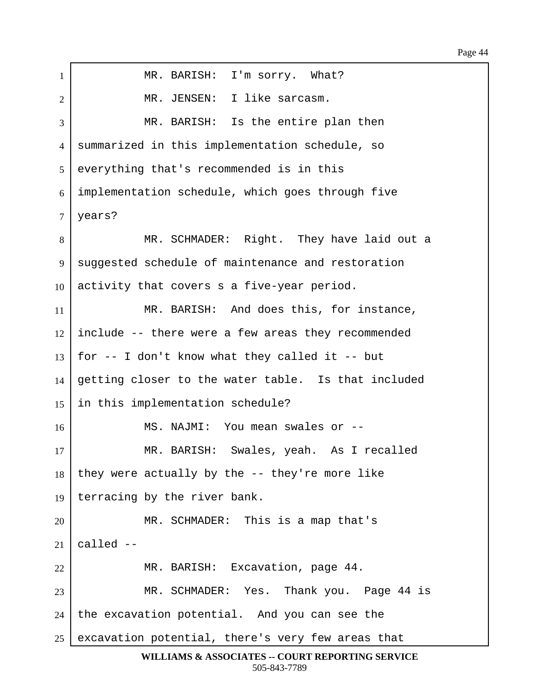1 | MR. BARISH: I'm sorry. What? 2 | THE SALE MR. JENSEN: I like sarcasm. 3 MR. BARISH: Is the entire plan then 4 | summarized in this implementation schedule, so 5 everything that's recommended is in this  $6$  implementation schedule, which goes through five 7 | years? 8 | The MR. SCHMADER: Right. They have laid out a 9 | suggested schedule of maintenance and restoration  $10$  activity that covers s a five-year period. 11 | MR. BARISH: And does this, for instance,  $12$  include -- there were a few areas they recommended  $13$  | for -- I don't know what they called it -- but  $14$  getting closer to the water table. Is that included  $15$  in this implementation schedule? 16· · · · · · · MS. NAJMI:··You mean swales or -- 17 | MR. BARISH: Swales, yeah. As I recalled  $18$  they were actually by the  $-$ - they're more like 19 | terracing by the river bank. 20 | THE SCHMADER: This is a map that's 21  $cal$  --22 | MR. BARISH: Excavation, page 44. 23 | MR. SCHMADER: Yes. Thank you. Page 44 is  $24$  the excavation potential. And you can see the  $25$  excavation potential, there's very few areas that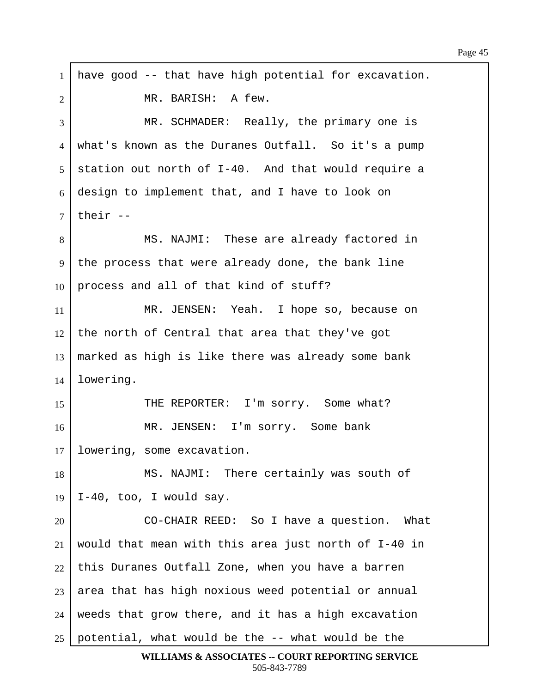$1$  have good -- that have high potential for excavation. 2 | MR. BARISH: A few. 3 | MR. SCHMADER: Really, the primary one is 4 | what's known as the Duranes Outfall. So it's a pump  $5$  station out north of I-40. And that would require a  $6$  design to implement that, and I have to look on  $7$  their --8 | MS. NAJMI: These are already factored in 9 | the process that were already done, the bank line 10 | process and all of that kind of stuff? 11 | MR. JENSEN: Yeah. I hope so, because on  $12$  the north of Central that area that they've got  $13$  marked as high is like there was already some bank  $14$  lowering. 15 THE REPORTER: I'm sorry. Some what? 16 | MR. JENSEN: I'm sorry. Some bank  $17$  lowering, some excavation. 18 | MS. NAJMI: There certainly was south of  $19$  | I-40, too, I would say. 20 CO-CHAIR REED: So I have a question. What 21 | would that mean with this area just north of I-40 in  $22$  this Duranes Outfall Zone, when you have a barren  $23$  area that has high noxious weed potential or annual  $24$  weeds that grow there, and it has a high excavation  $25$  potential, what would be the  $-$ - what would be the

```
WILLIAMS & ASSOCIATES -- COURT REPORTING SERVICE
        505-843-7789
```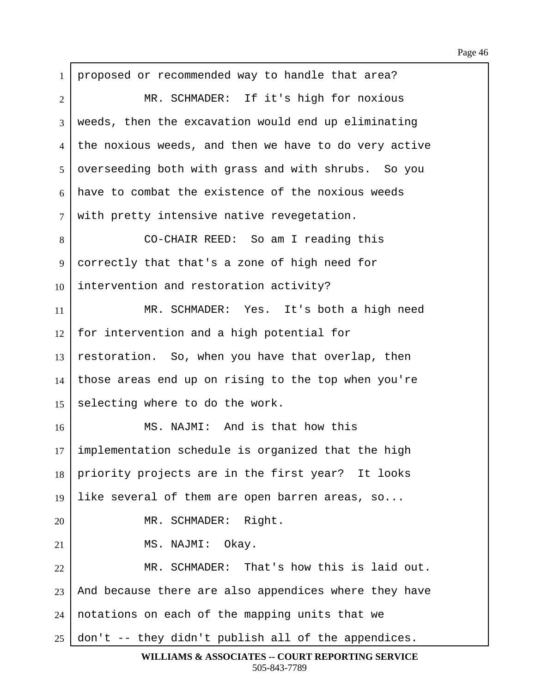1 | proposed or recommended way to handle that area? 2 MR. SCHMADER: If it's high for noxious 3 | weeds, then the excavation would end up eliminating 4 the noxious weeds, and then we have to do very active 5 overseeding both with grass and with shrubs. So you  $6$  have to combat the existence of the noxious weeds  $7$  with pretty intensive native revegetation. 8 CO-CHAIR REED: So am I reading this 9 | correctly that that's a zone of high need for  $10$  intervention and restoration activity? 11 | MR. SCHMADER: Yes. It's both a high need  $12$  for intervention and a high potential for  $13$  restoration. So, when you have that overlap, then  $14$  those areas end up on rising to the top when you're 15 selecting where to do the work. 16 MS. NAJMI: And is that how this  $17$  implementation schedule is organized that the high 18 priority projects are in the first year? It looks 19 Iike several of them are open barren areas, so... 20 | MR. SCHMADER: Right.  $21$  MS. NAJMI: Okay. 22 MR. SCHMADER: That's how this is laid out.  $23$  and because there are also appendices where they have  $24$  | notations on each of the mapping units that we  $25$  don't -- they didn't publish all of the appendices. **WILLIAMS & ASSOCIATES -- COURT REPORTING SERVICE**

505-843-7789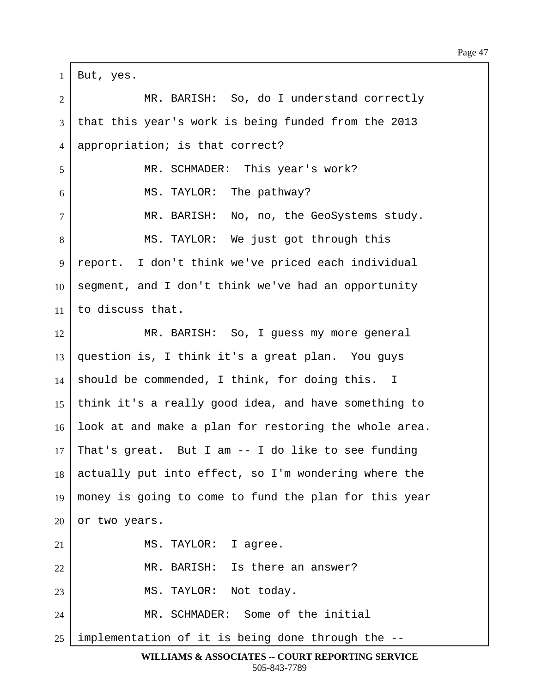$1$  | But, yes. 2 MR. BARISH: So, do I understand correctly  $3$  that this year's work is being funded from the 2013 4 | appropriation; is that correct? 5 | MR. SCHMADER: This year's work?  $6$   $\parallel$  MS. TAYLOR: The pathway? 7 | MR. BARISH: No, no, the GeoSystems study. 8 | MS. TAYLOR: We just got through this 9 | report. I don't think we've priced each individual  $10$  segment, and I don't think we've had an opportunity  $11$   $\pm$  co discuss that. 12 MR. BARISH: So, I quess my more general 13 question is, I think it's a great plan. You guys  $14$  should be commended, I think, for doing this. I 15 | think it's a really good idea, and have something to  $16$  look at and make a plan for restoring the whole area. 17 That's great. But I am  $-$  I do like to see funding  $18$  actually put into effect, so I'm wondering where the 19 | money is going to come to fund the plan for this year  $20$  or two years.  $21$  | MS. TAYLOR: I agree. 22 | MR. BARISH: Is there an answer? 23 | MS. TAYLOR: Not today. 24 | MR. SCHMADER: Some of the initial  $25$  implementation of it is being done through the  $-$ -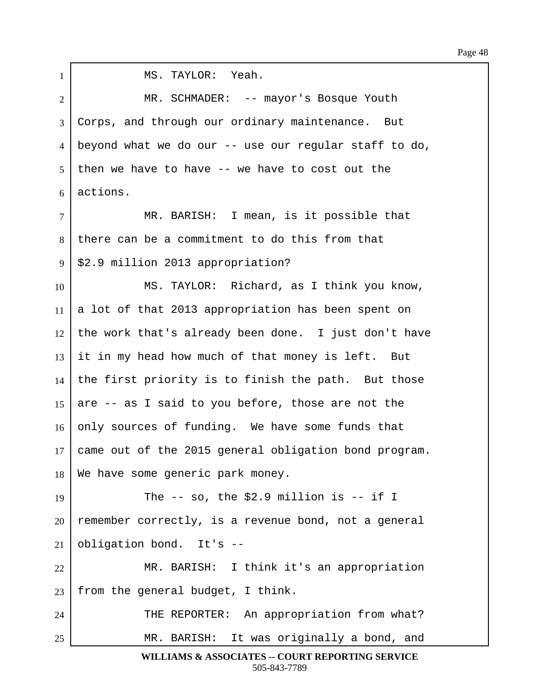| $\mathbf{1}$   | MS. TAYLOR: Yeah.                                     |
|----------------|-------------------------------------------------------|
| $\overline{c}$ | MR. SCHMADER: -- mayor's Bosque Youth                 |
| $\overline{3}$ | Corps, and through our ordinary maintenance. But      |
| 4              | beyond what we do our -- use our regular staff to do, |
| 5              | then we have to have -- we have to cost out the       |
| 6              | actions.                                              |
| $\tau$         | MR. BARISH: I mean, is it possible that               |
| 8              | there can be a commitment to do this from that        |
| 9              | \$2.9 million 2013 appropriation?                     |
| 10             | MS. TAYLOR: Richard, as I think you know,             |
| 11             | a lot of that 2013 appropriation has been spent on    |
| 12             | the work that's already been done. I just don't have  |
| 13             | it in my head how much of that money is left. But     |
| 14             | the first priority is to finish the path. But those   |
| 15             | are -- as I said to you before, those are not the     |
| 16             | only sources of funding. We have some funds that      |
| 17             | came out of the 2015 general obligation bond program. |
| 18             | We have some generic park money.                      |
| 19             | The $-$ so, the \$2.9 million is $-$ if I             |
| 20             | remember correctly, is a revenue bond, not a general  |
| 21             | obligation bond. It's --                              |
| 22             | MR. BARISH: I think it's an appropriation             |
| 23             | from the general budget, I think.                     |
| 24             | THE REPORTER: An appropriation from what?             |
| 25             | MR. BARISH: It was originally a bond, and             |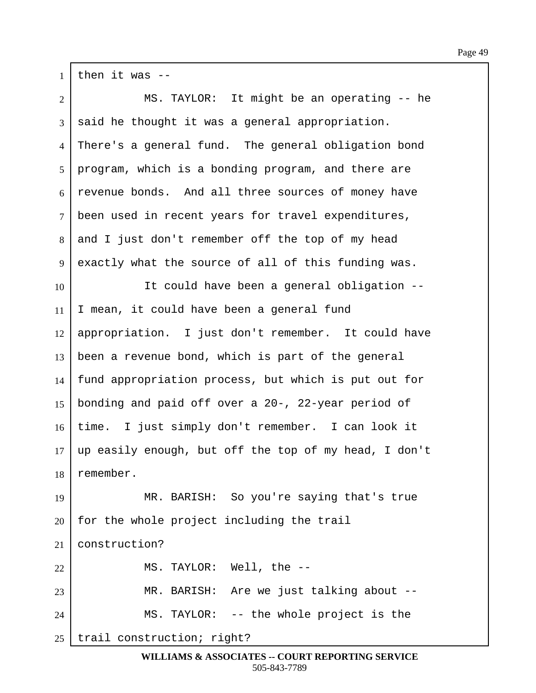$1$  then it was  $-$ 2 | MS. TAYLOR: It might be an operating -- he  $3 \mid$  said he thought it was a general appropriation. 4 There's a general fund. The general obligation bond 5 | program, which is a bonding program, and there are  $6$  revenue bonds. And all three sources of money have 7 been used in recent years for travel expenditures,  $8$  and I just don't remember off the top of my head 9 exactly what the source of all of this funding was. 10 It could have been a general obligation -- $11$  | I mean, it could have been a general fund  $12$  appropriation. I just don't remember. It could have  $13$  been a revenue bond, which is part of the general  $14$  fund appropriation process, but which is put out for 15 | bonding and paid off over a 20-, 22-year period of 16 | time. I just simply don't remember. I can look it  $17$  up easily enough, but off the top of my head, I don't 18 remember. 19 | MR. BARISH: So you're saying that's true  $20$  | for the whole project including the trail  $21$  construction? 22 | MS. TAYLOR: Well, the --23 | MR. BARISH: Are we just talking about --24 | MS. TAYLOR: -- the whole project is the

 $25$  trail construction; right?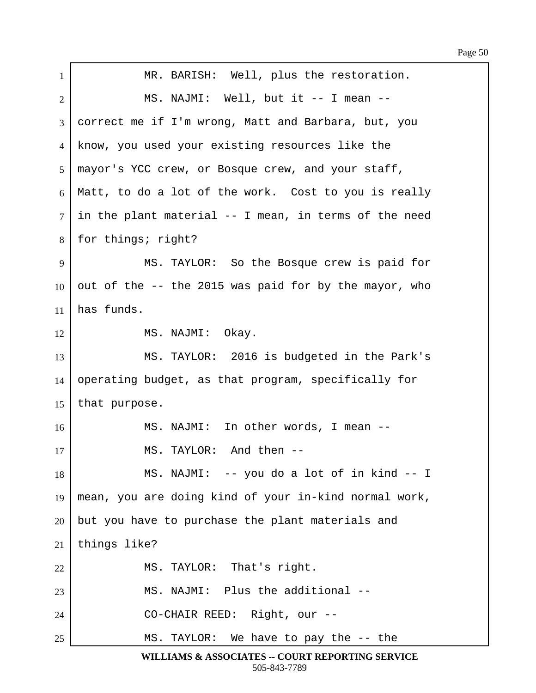| $\mathbf{1}$   | MR. BARISH: Well, plus the restoration.               |
|----------------|-------------------------------------------------------|
| $\overline{2}$ | MS. NAJMI: Well, but it -- I mean --                  |
| 3              | correct me if I'm wrong, Matt and Barbara, but, you   |
| $\overline{4}$ | know, you used your existing resources like the       |
| 5              | mayor's YCC crew, or Bosque crew, and your staff,     |
| 6              | Matt, to do a lot of the work. Cost to you is really  |
| $\tau$         | in the plant material -- I mean, in terms of the need |
| 8              | for things; right?                                    |
| 9              | MS. TAYLOR: So the Bosque crew is paid for            |
| 10             | out of the -- the 2015 was paid for by the mayor, who |
| 11             | has funds.                                            |
| 12             | MS. NAJMI: Okay.                                      |
| 13             | MS. TAYLOR: 2016 is budgeted in the Park's            |
| 14             | operating budget, as that program, specifically for   |
| 15             | that purpose.                                         |
| 16             | MS. NAJMI: In other words, I mean --                  |
| 17             | MS. TAYLOR: And then --                               |
| 18             | MS. NAJMI: -- you do a lot of in kind -- I            |
| 19             | mean, you are doing kind of your in-kind normal work, |
| 20             | but you have to purchase the plant materials and      |
| 21             | things like?                                          |
| 22             | MS. TAYLOR: That's right.                             |
| 23             | MS. NAJMI: Plus the additional --                     |
| 24             | CO-CHAIR REED: Right, our --                          |
| 25             | MS. TAYLOR: We have to pay the -- the                 |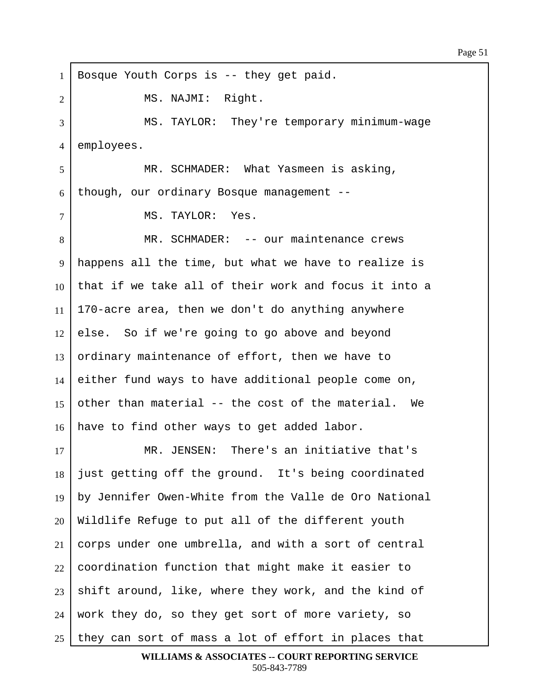1 | Bosque Youth Corps is -- they get paid. 2 | MS. NAJMI: Right. 3 MS. TAYLOR: They're temporary minimum-wage 4 employees. 5 | MR. SCHMADER: What Yasmeen is asking,  $6$  though, our ordinary Bosque management -- $7$  | MS. TAYLOR: Yes. 8 | MR. SCHMADER: -- our maintenance crews 9 happens all the time, but what we have to realize is 10 that if we take all of their work and focus it into a 11 | 170-acre area, then we don't do anything anywhere  $12$  else. So if we're going to go above and beyond 13 ordinary maintenance of effort, then we have to  $14$  either fund ways to have additional people come on, 15 other than material -- the cost of the material. We  $16$  have to find other ways to get added labor. 17 MR. JENSEN: There's an initiative that's  $18$  iust getting off the ground. It's being coordinated  $19$  by Jennifer Owen-White from the Valle de Oro National  $20$  Wildlife Refuge to put all of the different youth  $21$  corps under one umbrella, and with a sort of central  $22$  coordination function that might make it easier to  $23$  shift around, like, where they work, and the kind of  $24$  work they do, so they get sort of more variety, so  $25$  they can sort of mass a lot of effort in places that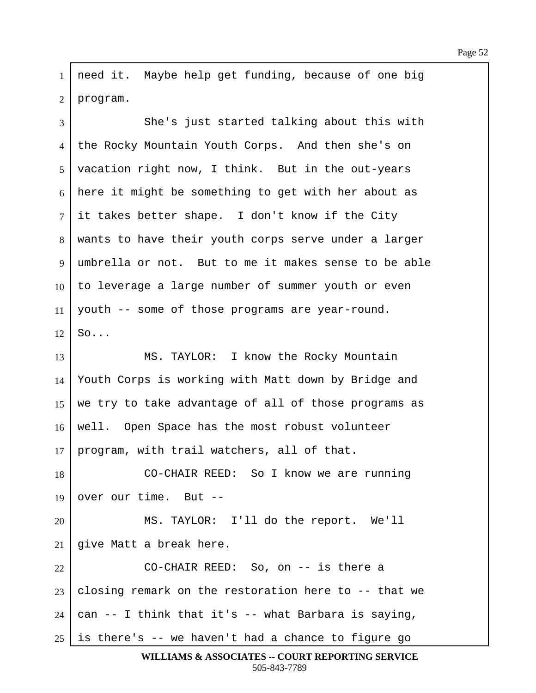1 | need it. Maybe help get funding, because of one big  $2$  | program.

3 She's just started talking about this with 4 the Rocky Mountain Youth Corps. And then she's on 5 | vacation right now, I think. But in the out-years  $6$  here it might be something to get with her about as  $7$  it takes better shape. I don't know if the City 8 | wants to have their youth corps serve under a larger  $9$  umbrella or not. But to me it makes sense to be able  $10$  to leverage a large number of summer youth or even  $11$  youth -- some of those programs are year-round.  $12$  So... 13 MS. TAYLOR: I know the Rocky Mountain 14 Youth Corps is working with Matt down by Bridge and 15 | we try to take advantage of all of those programs as 16 | well. Open Space has the most robust volunteer  $17$  | program, with trail watchers, all of that. 18 CO-CHAIR REED: So I know we are running 19 over our time. But  $-$ 20 MS. TAYLOR: I'll do the report. We'll  $21$  give Matt a break here. 22· · · · · · · CO-CHAIR REED:··So, on -- is there a  $23$  closing remark on the restoration here to -- that we  $24$  can  $-$  I think that it's  $-$  what Barbara is saying,  $25$  is there's  $-$  we haven't had a chance to figure go

```
WILLIAMS & ASSOCIATES -- COURT REPORTING SERVICE
        505-843-7789
```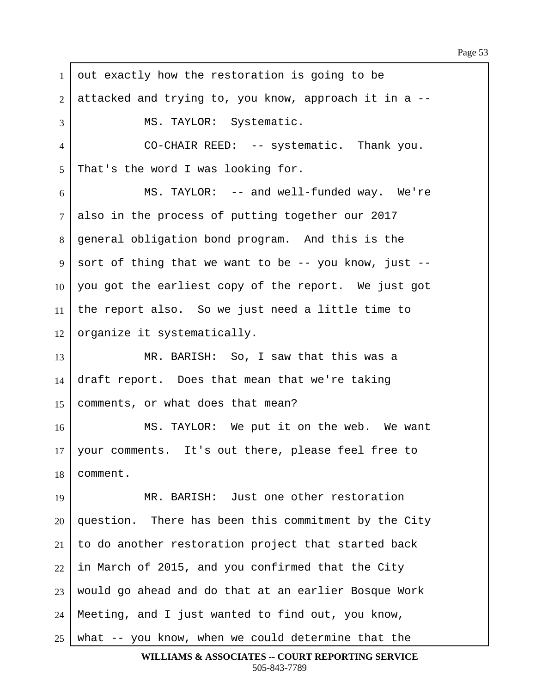$1$  out exactly how the restoration is going to be ·2· ·attacked and trying to, you know, approach it in a -- 3 | MS. TAYLOR: Systematic. 4 CO-CHAIR REED: -- systematic. Thank you.  $5$  That's the word I was looking for.  $6$  MS. TAYLOR: -- and well-funded way. We're  $7$  also in the process of putting together our 2017 8 | general obligation bond program. And this is the  $9 \mid$  sort of thing that we want to be -- you know, just --10  $\vert$  you got the earliest copy of the report. We just got 11 | the report also. So we just need a little time to  $12$  organize it systematically. 13 MR. BARISH: So, I saw that this was a 14  $\frac{1}{4}$  draft report. Does that mean that we're taking 15 | comments, or what does that mean? 16 | MS. TAYLOR: We put it on the web. We want 17 | your comments. It's out there, please feel free to 18 comment. 19 | MR. BARISH: Just one other restoration  $20$  question. There has been this commitment by the City  $21$  to do another restoration project that started back  $22$  in March of 2015, and you confirmed that the City  $23$  would go ahead and do that at an earlier Bosque Work  $24$  | Meeting, and I just wanted to find out, you know,  $25$  what  $-$  you know, when we could determine that the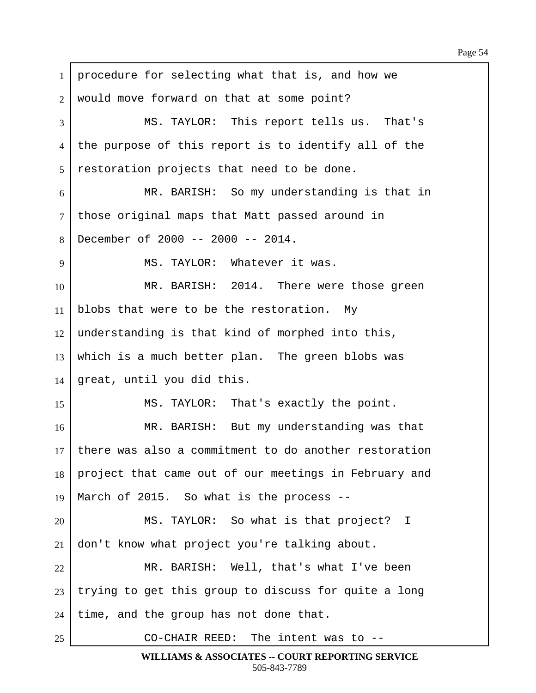$1$  procedure for selecting what that is, and how we 2 | would move forward on that at some point? 3 MS. TAYLOR: This report tells us. That's 4 | the purpose of this report is to identify all of the  $5$  restoration projects that need to be done. 6 MR. BARISH: So my understanding is that in 7 | those original maps that Matt passed around in  $8$  December of 2000 -- 2000 -- 2014. 9 | MS. TAYLOR: Whatever it was. 10 MR. BARISH: 2014. There were those green 11 | blobs that were to be the restoration. My  $12$  understanding is that kind of morphed into this,  $13$  which is a much better plan. The green blobs was  $14$  great, until you did this. 15 | MS. TAYLOR: That's exactly the point. 16 MR. BARISH: But my understanding was that  $17$  there was also a commitment to do another restoration 18 project that came out of our meetings in February and 19 | March of 2015. So what is the process  $-$ -20 MS. TAYLOR: So what is that project? I  $21$  don't know what project you're talking about. 22 MR. BARISH: Well, that's what I've been  $23$  trying to get this group to discuss for quite a long  $24$  | time, and the group has not done that. 25 | CO-CHAIR REED: The intent was to --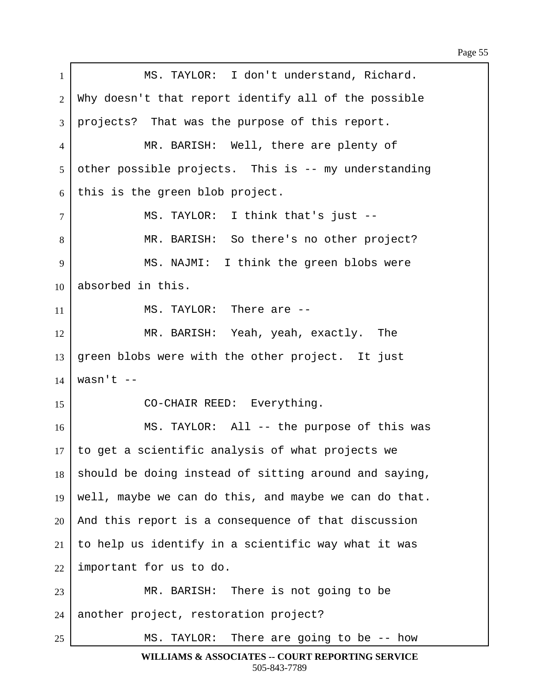| $\mathbf{1}$   | MS. TAYLOR: I don't understand, Richard.              |
|----------------|-------------------------------------------------------|
| 2              | Why doesn't that report identify all of the possible  |
| 3              | projects? That was the purpose of this report.        |
| 4              | MR. BARISH: Well, there are plenty of                 |
| 5              | other possible projects. This is -- my understanding  |
| 6              | this is the green blob project.                       |
| $\overline{7}$ | MS. TAYLOR: I think that's just --                    |
| 8              | MR. BARISH: So there's no other project?              |
| 9              | MS. NAJMI: I think the green blobs were               |
| 10             | absorbed in this.                                     |
| 11             | MS. TAYLOR: There are --                              |
| 12             | MR. BARISH: Yeah, yeah, exactly. The                  |
| 13             | green blobs were with the other project. It just      |
| 14             | wasn't $--$                                           |
| 15             | CO-CHAIR REED: Everything.                            |
| 16             | MS. TAYLOR: All -- the purpose of this was            |
| 17             | to get a scientific analysis of what projects we      |
| 18             | should be doing instead of sitting around and saying, |
| 19             | well, maybe we can do this, and maybe we can do that. |
| 20             | And this report is a consequence of that discussion   |
| 21             | to help us identify in a scientific way what it was   |
| 22             | important for us to do.                               |
| 23             | MR. BARISH: There is not going to be                  |
| 24             | another project, restoration project?                 |
| 25             | There are going to be $-$ - how<br>MS. TAYLOR:        |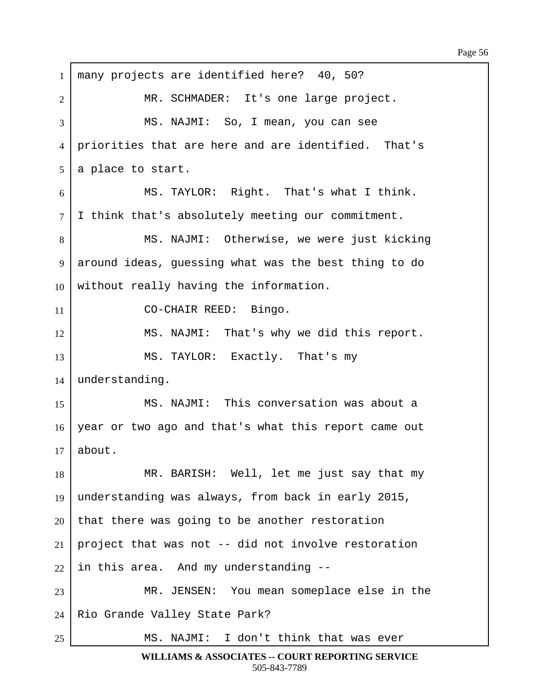$1$  many projects are identified here? 40, 50? 2 | THE MR. SCHMADER: It's one large project. 3 NS. NAJMI: So, I mean, you can see 4 priorities that are here and are identified. That's  $5$  a place to start.  $6$  MS. TAYLOR: Right. That's what I think.  $7$  I think that's absolutely meeting our commitment. 8 | MS. NAJMI: Otherwise, we were just kicking 9 around ideas, quessing what was the best thing to do  $10$  without really having the information. 11 | CO-CHAIR REED: Bingo. 12 | MS. NAJMI: That's why we did this report. 13 | MS. TAYLOR: Exactly. That's my  $14$  understanding. 15 MS. NAJMI: This conversation was about a 16 year or two ago and that's what this report came out  $17$  about. 18 | MR. BARISH: Well, let me just say that my 19 understanding was always, from back in early 2015,  $20$  that there was going to be another restoration 21 | project that was not  $-$ - did not involve restoration  $22$  in this area. And my understanding  $-$ -23 | MR. JENSEN: You mean someplace else in the 24 | Rio Grande Valley State Park? 25 | MS. NAJMI: I don't think that was ever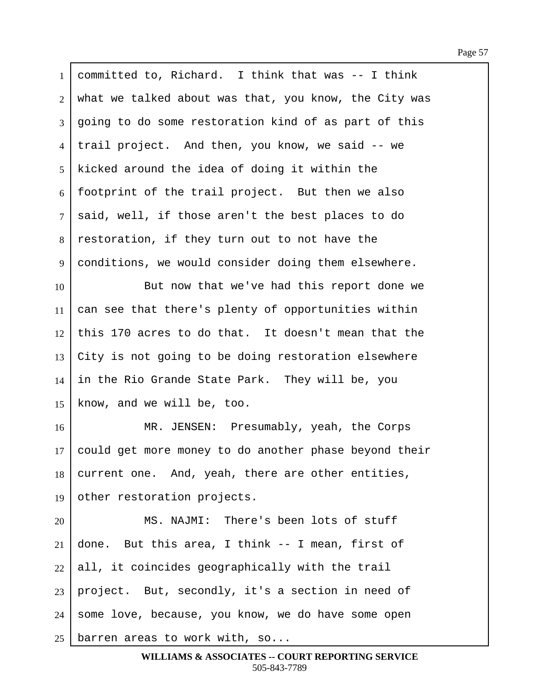$1$  committed to, Richard. I think that was  $-1$  think 2 what we talked about was that, you know, the City was 3 | going to do some restoration kind of as part of this 4 I trail project. And then, you know, we said -- we 5 | kicked around the idea of doing it within the  $6 \mid$  footprint of the trail project. But then we also  $7$  said, well, if those aren't the best places to do 8 restoration, if they turn out to not have the 9 conditions, we would consider doing them elsewhere. 10 But now that we've had this report done we  $11$  can see that there's plenty of opportunities within  $12$  this 170 acres to do that. It doesn't mean that the  $13$  City is not going to be doing restoration elsewhere  $14$  in the Rio Grande State Park. They will be, you  $15$  know, and we will be, too. 16 R. JENSEN: Presumably, yeah, the Corps  $17$  could get more money to do another phase beyond their  $18$  current one. And, yeah, there are other entities, 19 other restoration projects. 20 MS. NAJMI: There's been lots of stuff 21 done. But this area, I think  $-$  I mean, first of  $22$  all, it coincides geographically with the trail  $23$  project. But, secondly, it's a section in need of 24 some love, because, you know, we do have some open 25 barren areas to work with, so...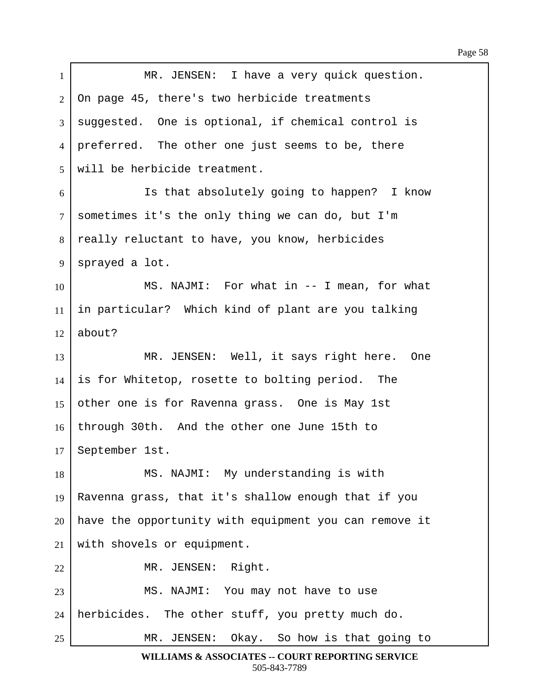| $\mathbf{1}$ | MR. JENSEN: I have a very quick question.             |
|--------------|-------------------------------------------------------|
| 2            | On page 45, there's two herbicide treatments          |
| 3            | suggested. One is optional, if chemical control is    |
| 4            | preferred. The other one just seems to be, there      |
| 5            | will be herbicide treatment.                          |
| 6            | Is that absolutely going to happen? I know            |
| $\tau$       | sometimes it's the only thing we can do, but I'm      |
| 8            | really reluctant to have, you know, herbicides        |
| 9            | sprayed a lot.                                        |
| 10           | MS. NAJMI: For what in -- I mean, for what            |
| 11           | in particular? Which kind of plant are you talking    |
| 12           | about?                                                |
| 13           | MR. JENSEN: Well, it says right here. One             |
| 14           | is for Whitetop, rosette to bolting period. The       |
| 15           | other one is for Ravenna grass. One is May 1st        |
| 16           | through 30th. And the other one June 15th to          |
|              | 17   September 1st.                                   |
| 18           | MS. NAJMI: My understanding is with                   |
| 19           | Ravenna grass, that it's shallow enough that if you   |
| 20           | have the opportunity with equipment you can remove it |
| 21           | with shovels or equipment.                            |
| 22           | MR. JENSEN: Right.                                    |
| 23           | MS. NAJMI: You may not have to use                    |
| 24           | herbicides. The other stuff, you pretty much do.      |
| 25           | MR. JENSEN: Okay. So how is that going to             |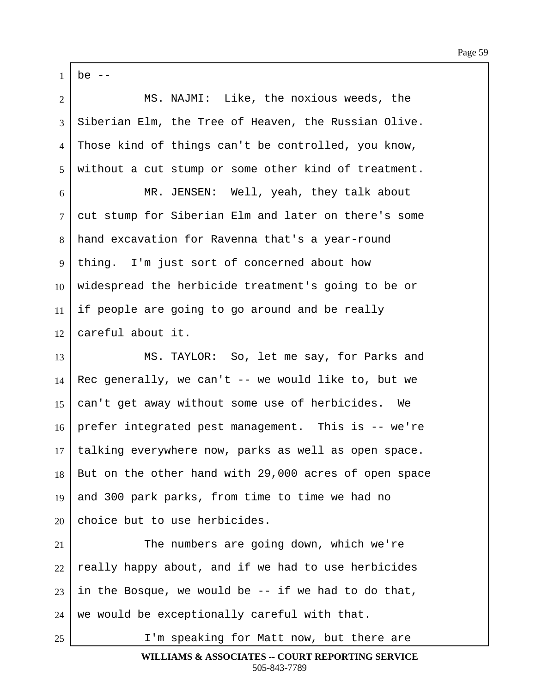$1$  be  $-$ 2 MS. NAJMI: Like, the noxious weeds, the  $3$  Siberian Elm, the Tree of Heaven, the Russian Olive. 4 Those kind of things can't be controlled, you know,  $5$  without a cut stump or some other kind of treatment. 6 MR. JENSEN: Well, yeah, they talk about 7 cut stump for Siberian Elm and later on there's some 8 hand excavation for Ravenna that's a year-round 9 | thing. I'm just sort of concerned about how  $10$  widespread the herbicide treatment's going to be or  $11$  if people are going to go around and be really  $12$  careful about it. 13 | MS. TAYLOR: So, let me say, for Parks and 14 Rec generally, we can't  $-$ - we would like to, but we 15  $\vert$  can't get away without some use of herbicides. We  $16$  prefer integrated pest management. This is  $-$  we're 17 | talking everywhere now, parks as well as open space. 18 | But on the other hand with 29,000 acres of open space 19 and 300 park parks, from time to time we had no  $20$  choice but to use herbicides. 21 The numbers are going down, which we're  $22$  really happy about, and if we had to use herbicides 23 in the Bosque, we would be  $-$ - if we had to do that,  $24$  we would be exceptionally careful with that. 25 I'm speaking for Matt now, but there are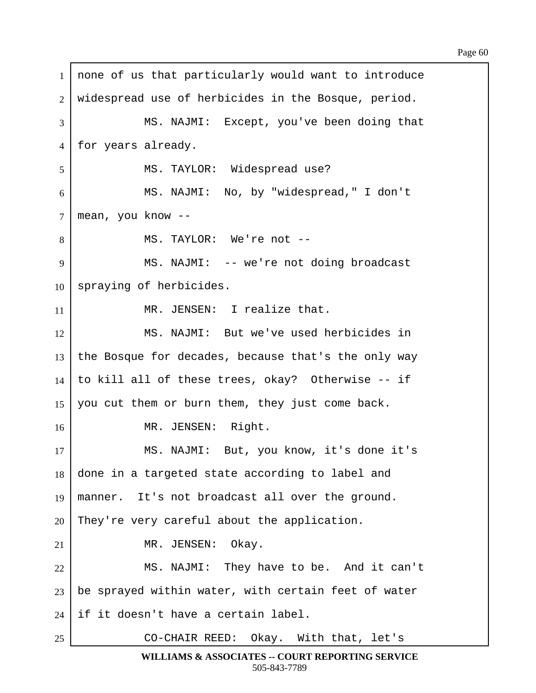1 | none of us that particularly would want to introduce 2 | widespread use of herbicides in the Bosque, period. 3 MS. NAJMI: Except, you've been doing that 4 | for years already. 5 | MS. TAYLOR: Widespread use? 6 | MS. NAJMI: No, by "widespread," I don't  $7 \mid \text{mean}, \text{ you know } \text{-}$ 8 | MS. TAYLOR: We're not --9 | MS. NAJMI: -- we're not doing broadcast  $10$  spraying of herbicides. 11 | MR. JENSEN: I realize that. 12 MS. NAJMI: But we've used herbicides in 13 the Bosque for decades, because that's the only way  $14$  to kill all of these trees, okay? Otherwise -- if 15 | you cut them or burn them, they just come back. 16 | MR. JENSEN: Right. 17 | MS. NAJMI: But, you know, it's done it's  $18$  done in a targeted state according to label and 19 | manner. It's not broadcast all over the ground.  $20$  They're very careful about the application.  $21$  **MR. JENSEN:** Okay. 22 MS. NAJMI: They have to be. And it can't  $23$  be sprayed within water, with certain feet of water  $24$  if it doesn't have a certain label. 25 | CO-CHAIR REED: Okay. With that, let's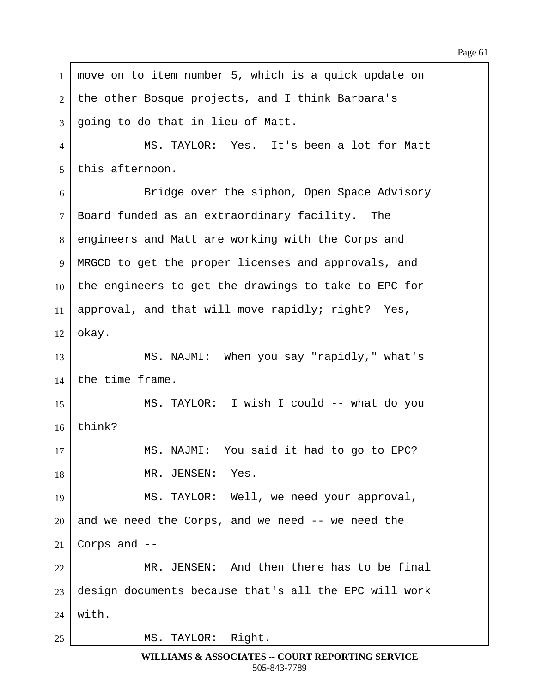$1$  move on to item number 5, which is a quick update on 2 | the other Bosque projects, and I think Barbara's 3 going to do that in lieu of Matt. 4 | MS. TAYLOR: Yes. It's been a lot for Matt  $5$  this afternoon. 6 Bridge over the siphon, Open Space Advisory  $7$  Board funded as an extraordinary facility. The 8 engineers and Matt are working with the Corps and 9 | MRGCD to get the proper licenses and approvals, and 10 the engineers to get the drawings to take to EPC for 11 | approval, and that will move rapidly; right? Yes,  $12$  okay. 13 | MS. NAJMI: When you say "rapidly," what's  $14$  the time frame. 15 | MS. TAYLOR: I wish I could -- what do you  $16$  | think? 17 | MS. NAJMI: You said it had to go to EPC? 18 | THE MR. JENSEN: Yes. 19 | MS. TAYLOR: Well, we need your approval,  $20$  and we need the Corps, and we need  $-$  we need the 21 Corps and  $-$ 22 MR. JENSEN: And then there has to be final  $23$  design documents because that's all the EPC will work  $24$  with. 25 | MS. TAYLOR: Right.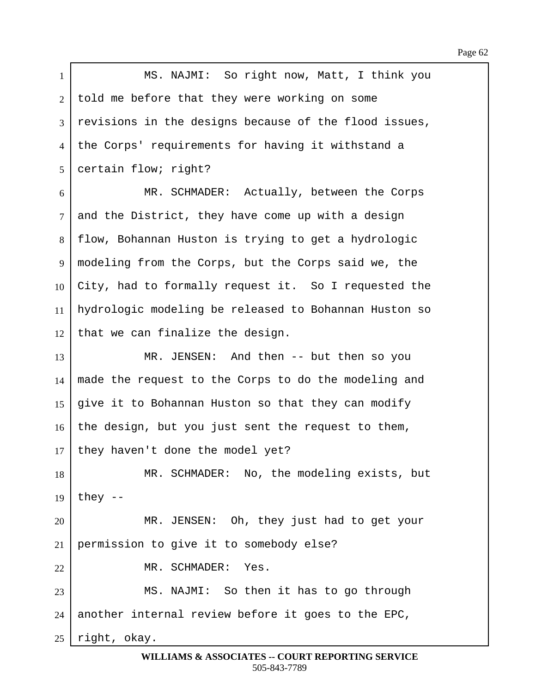1 | MS. NAJMI: So right now, Matt, I think you 2 told me before that they were working on some 3 revisions in the designs because of the flood issues, 4 | the Corps' requirements for having it withstand a 5 certain flow; right? 6 MR. SCHMADER: Actually, between the Corps  $7$  and the District, they have come up with a design 8 | flow, Bohannan Huston is trying to get a hydrologic 9 | modeling from the Corps, but the Corps said we, the  $10$  City, had to formally request it. So I requested the 11 | hydrologic modeling be released to Bohannan Huston so  $12$  that we can finalize the design. 13 MR. JENSEN: And then -- but then so you  $14$  made the request to the Corps to do the modeling and 15 | give it to Bohannan Huston so that they can modify  $16$  the design, but you just sent the request to them,  $17$  they haven't done the model yet? 18 | MR. SCHMADER: No, the modeling exists, but 19 | they  $-$ 20 | MR. JENSEN: Oh, they just had to get your  $21$  permission to give it to somebody else? 22 MR. SCHMADER: Yes. 23 | MS. NAJMI: So then it has to go through  $24$  another internal review before it goes to the EPC,  $25$  right, okay.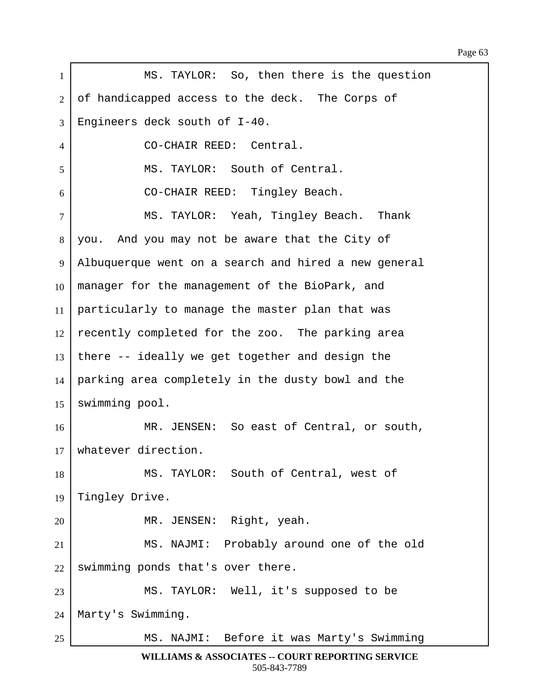| $\mathbf{1}$   | MS. TAYLOR: So, then there is the question           |
|----------------|------------------------------------------------------|
| 2              | of handicapped access to the deck. The Corps of      |
| 3              | Engineers deck south of I-40.                        |
| $\overline{4}$ | CO-CHAIR REED: Central.                              |
| 5              | MS. TAYLOR: South of Central.                        |
| 6              | CO-CHAIR REED: Tingley Beach.                        |
| $\overline{7}$ | MS. TAYLOR: Yeah, Tingley Beach. Thank               |
| 8              | you. And you may not be aware that the City of       |
| 9              | Albuquerque went on a search and hired a new general |
| 10             | manager for the management of the BioPark, and       |
| 11             | particularly to manage the master plan that was      |
| 12             | recently completed for the zoo. The parking area     |
| 13             | there -- ideally we get together and design the      |
| 14             | parking area completely in the dusty bowl and the    |
| 15             | swimming pool.                                       |
| 16             | MR. JENSEN: So east of Central, or south,            |
| 17             | whatever direction.                                  |
| 18             | MS. TAYLOR: South of Central, west of                |
| 19             | Tingley Drive.                                       |
| 20             | MR. JENSEN: Right, yeah.                             |
| 21             | MS. NAJMI: Probably around one of the old            |
| 22             | swimming ponds that's over there.                    |
| 23             | MS. TAYLOR: Well, it's supposed to be                |
| 24             | Marty's Swimming.                                    |
| 25             | MS. NAJMI: Before it was Marty's Swimming            |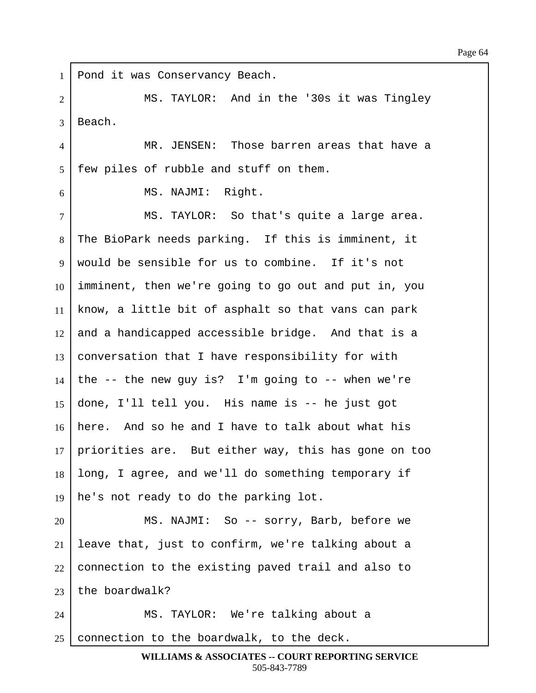1 | Pond it was Conservancy Beach. ·2· · · · · · · MS. TAYLOR:··And in the '30s it was Tingley 3 Beach. 4 | THE MERIT INSEN: Those barren areas that have a  $5$  | few piles of rubble and stuff on them.  $6$   $\parallel$  MS. NAJMI: Right. 7 | MS. TAYLOR: So that's quite a large area. 8 The BioPark needs parking. If this is imminent, it  $9 \mid$  would be sensible for us to combine. If it's not  $10$  imminent, then we're going to go out and put in, you  $11$  know, a little bit of asphalt so that vans can park 12 | and a handicapped accessible bridge. And that is a  $13$  conversation that I have responsibility for with 14 the  $-$ - the new guy is? I'm going to  $-$ - when we're 15  $\vert$  done, I'll tell you. His name is -- he just got  $16$  here. And so he and I have to talk about what his  $17$  priorities are. But either way, this has gone on too 18 | long, I agree, and we'll do something temporary if 19  $\vert$  he's not ready to do the parking lot. 20 MS. NAJMI: So -- sorry, Barb, before we 21 | leave that, just to confirm, we're talking about a  $22$  connection to the existing paved trail and also to 23  $\vert$  the boardwalk? 24 | MS. TAYLOR: We're talking about a 25 connection to the boardwalk, to the deck.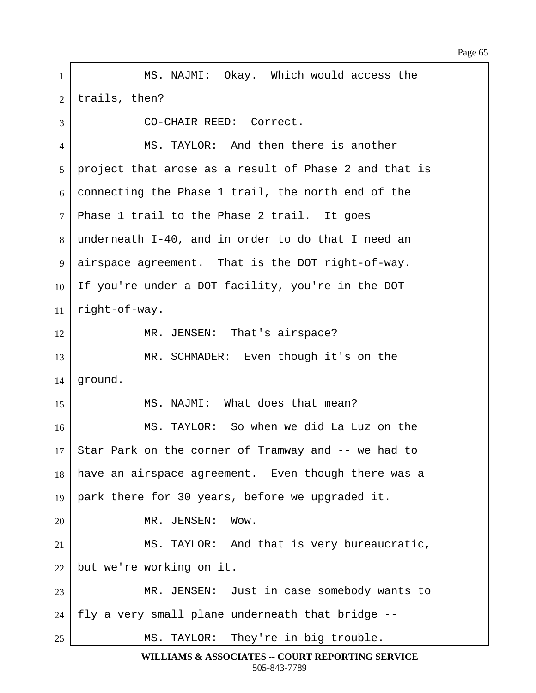1 | MS. NAJMI: Okay. Which would access the  $2$  | trails, then? 3 | CO-CHAIR REED: Correct. 4 | MS. TAYLOR: And then there is another  $5$  | project that arose as a result of Phase 2 and that is  $6$  connecting the Phase 1 trail, the north end of the  $7$  Phase 1 trail to the Phase 2 trail. It goes  $8$  underneath I-40, and in order to do that I need an 9 airspace agreement. That is the DOT right-of-way. 10 If you're under a DOT facility, you're in the DOT  $11$  right-of-way. 12 | MR. JENSEN: That's airspace? 13 MR. SCHMADER: Even though it's on the  $14$  | ground. 15 | MS. NAJMI: What does that mean? 16· · · · · · · MS. TAYLOR:··So when we did La Luz on the 17 Star Park on the corner of Tramway and  $-$  we had to 18 | have an airspace agreement. Even though there was a 19 | park there for 30 years, before we upgraded it. 20 | MR. JENSEN: Wow. 21 |  $MS. TAYLOR: And that is very bureaucratic,$  $22$  but we're working on it. 23 | MR. JENSEN: Just in case somebody wants to  $24$  | fly a very small plane underneath that bridge --25 | MS. TAYLOR: They're in big trouble.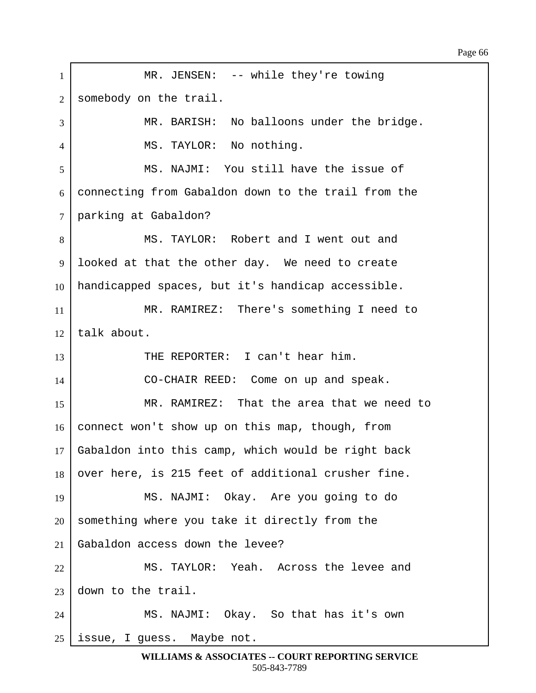1 | MR. JENSEN: -- while they're towing 2 somebody on the trail. 3 MR. BARISH: No balloons under the bridge. 4 | MS. TAYLOR: No nothing. 5 | MS. NAJMI: You still have the issue of 6 connecting from Gabaldon down to the trail from the 7 parking at Gabaldon? 8 | MS. TAYLOR: Robert and I went out and 9 | looked at that the other day. We need to create  $10$  handicapped spaces, but it's handicap accessible. 11 | MR. RAMIREZ: There's something I need to  $12$  talk about. 13 THE REPORTER: I can't hear him. 14 CO-CHAIR REED: Come on up and speak. 15 MR. RAMIREZ: That the area that we need to  $16$  connect won't show up on this map, though, from  $17$  Gabaldon into this camp, which would be right back 18 | over here, is 215 feet of additional crusher fine. 19 | MS. NAJMI: Okay. Are you going to do  $20$  something where you take it directly from the  $21$  Gabaldon access down the levee? 22 MS. TAYLOR: Yeah. Across the levee and  $23$  down to the trail. 24 MS. NAJMI: Okay. So that has it's own  $25$  issue, I guess. Maybe not.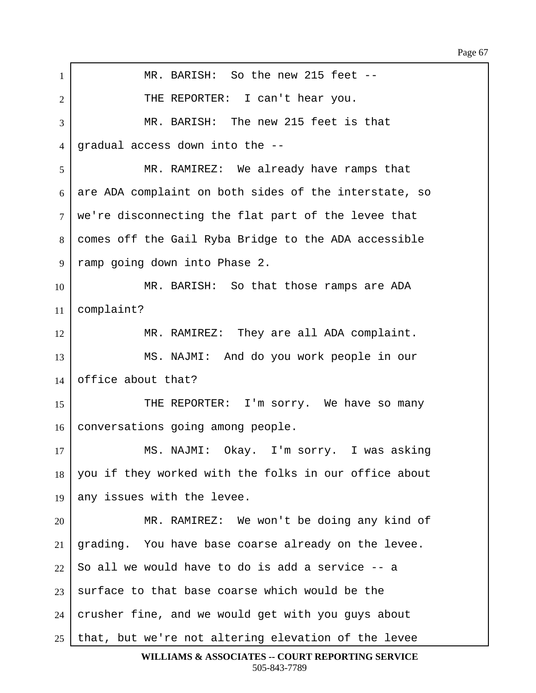1 | MR. BARISH: So the new 215 feet --2 | THE REPORTER: I can't hear you. 3 MR. BARISH: The new 215 feet is that 4 | gradual access down into the --5 MR. RAMIREZ: We already have ramps that  $6$  are ADA complaint on both sides of the interstate, so  $7$  we're disconnecting the flat part of the levee that ·8· ·comes off the Gail Ryba Bridge to the ADA accessible 9 | ramp going down into Phase 2. 10 MR. BARISH: So that those ramps are ADA  $11$  complaint? 12 MR. RAMIREZ: They are all ADA complaint. 13 | MS. NAJMI: And do you work people in our  $14$  office about that? 15 THE REPORTER: I'm sorry. We have so many 16 | conversations going among people. 17 | MS. NAJMI: Okay. I'm sorry. I was asking 18 you if they worked with the folks in our office about 19 any issues with the levee. 20 MR. RAMIREZ: We won't be doing any kind of  $21$  grading. You have base coarse already on the levee.  $22$  So all we would have to do is add a service  $-$ - a  $23$  surface to that base coarse which would be the  $24$  crusher fine, and we would get with you guys about  $25$  that, but we're not altering elevation of the levee **WILLIAMS & ASSOCIATES -- COURT REPORTING SERVICE**

505-843-7789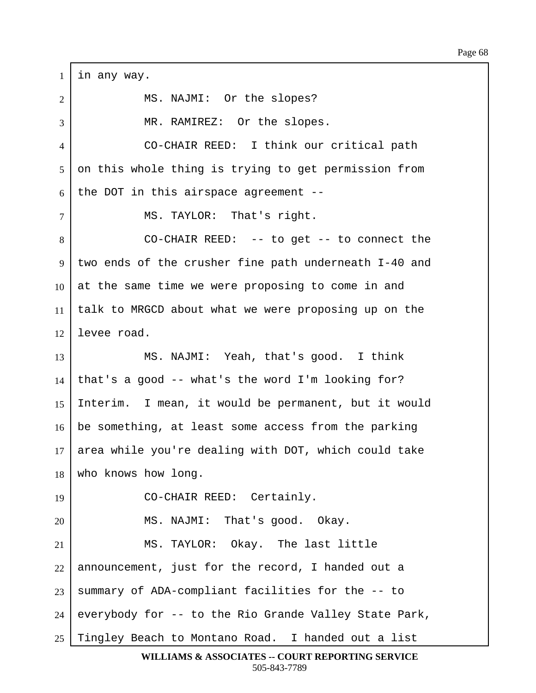$1$  in any way. 2 | MS. NAJMI: Or the slopes? 3 | The Superster MR. RAMIREZ: Or the slopes. 4 CO-CHAIR REED: I think our critical path 5 on this whole thing is trying to get permission from  $6$  the DOT in this airspace agreement -- $7$  | MS. TAYLOR: That's right. 8 CO-CHAIR REED: -- to get -- to connect the 9 two ends of the crusher fine path underneath I-40 and  $10$  at the same time we were proposing to come in and 11 | talk to MRGCD about what we were proposing up on the  $12$  levee road. 13 | MS. NAJMI: Yeah, that's good. I think  $14$  that's a good -- what's the word I'm looking for? 15 | Interim. I mean, it would be permanent, but it would 16 be something, at least some access from the parking 17 area while you're dealing with DOT, which could take 18 who knows how long. 19 | CO-CHAIR REED: Certainly.  $20$  | MS. NAJMI: That's good. Okay. 21 | MS. TAYLOR: Okay. The last little  $22$  announcement, just for the record, I handed out a  $23$  summary of ADA-compliant facilities for the  $-$ - to  $24$  everybody for  $-$  to the Rio Grande Valley State Park, 25 Tingley Beach to Montano Road. I handed out a list

**WILLIAMS & ASSOCIATES -- COURT REPORTING SERVICE** 505-843-7789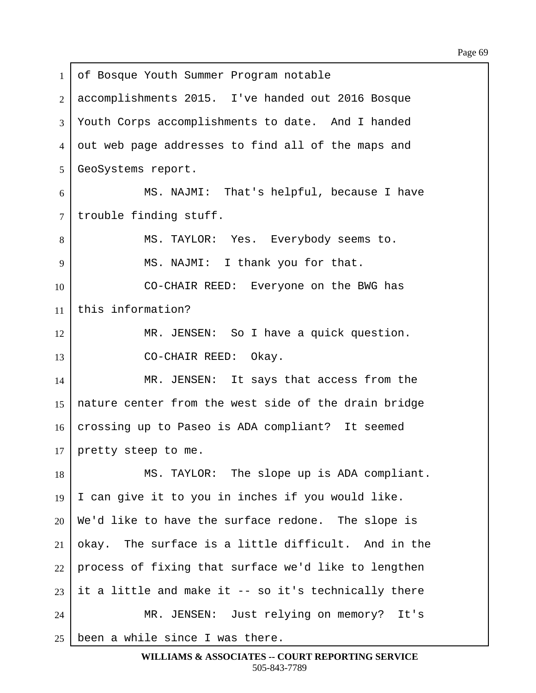1 of Bosque Youth Summer Program notable 2 accomplishments 2015. I've handed out 2016 Bosque 3 Youth Corps accomplishments to date. And I handed 4 out web page addresses to find all of the maps and 5 | GeoSystems report.  $6$   $\vert$   $\vert$  MS. NAJMI: That's helpful, because I have 7 | trouble finding stuff. 8 | MS. TAYLOR: Yes. Everybody seems to. 9 | MS. NAJMI: I thank you for that. 10 CO-CHAIR REED: Everyone on the BWG has 11  $\vert$  this information? 12 | MR. JENSEN: So I have a quick question. 13 | CO-CHAIR REED: Okay. 14 MR. JENSEN: It says that access from the 15 aature center from the west side of the drain bridge 16 | crossing up to Paseo is ADA compliant? It seemed  $17$  pretty steep to me. 18 | MS. TAYLOR: The slope up is ADA compliant.  $19$  I can give it to you in inches if you would like.  $20$  We'd like to have the surface redone. The slope is  $21$  okay. The surface is a little difficult. And in the  $22$  process of fixing that surface we'd like to lengthen 23 it a little and make it  $-$ - so it's technically there 24 | MR. JENSEN: Just relying on memory? It's 25 been a while since I was there.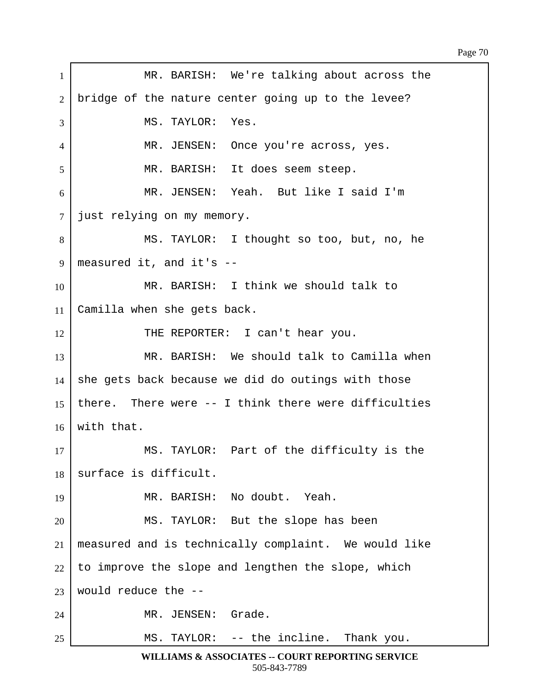| $\mathbf{1}$   | MR. BARISH: We're talking about across the           |
|----------------|------------------------------------------------------|
| $\overline{2}$ | bridge of the nature center going up to the levee?   |
| 3              | MS. TAYLOR:<br>Yes.                                  |
| 4              | MR. JENSEN: Once you're across, yes.                 |
| 5              | MR. BARISH: It does seem steep.                      |
| 6              | MR. JENSEN: Yeah. But like I said I'm                |
| $\overline{7}$ | just relying on my memory.                           |
| 8              | MS. TAYLOR: I thought so too, but, no, he            |
| 9              | measured it, and it's $-$                            |
| 10             | MR. BARISH: I think we should talk to                |
| 11             | Camilla when she gets back.                          |
| 12             | THE REPORTER: I can't hear you.                      |
| 13             | MR. BARISH: We should talk to Camilla when           |
| 14             | she gets back because we did do outings with those   |
| 15             | there. There were -- I think there were difficulties |
| 16             | with that.                                           |
| 17             | MS. TAYLOR: Part of the difficulty is the            |
| 18             | surface is difficult.                                |
| 19             | MR. BARISH: No doubt. Yeah.                          |
| 20             | MS. TAYLOR: But the slope has been                   |
| 21             | measured and is technically complaint. We would like |
| 22             | to improve the slope and lengthen the slope, which   |
| 23             | would reduce the --                                  |
| 24             | MR. JENSEN: Grade.                                   |
| 25             | MS. TAYLOR: -- the incline. Thank you.               |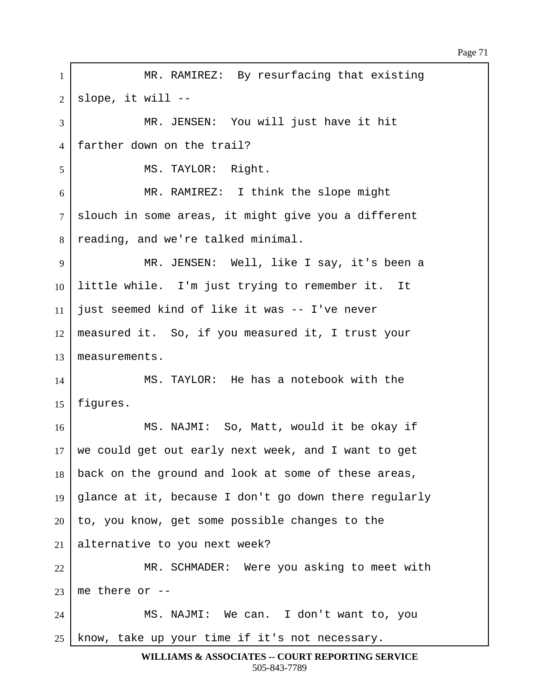1 | MR. RAMIREZ: By resurfacing that existing  $2$  | slope, it will --3 MR. JENSEN: You will just have it hit 4 Farther down on the trail? 5 | MS. TAYLOR: Right. 6 MR. RAMIREZ: I think the slope might 7 Slouch in some areas, it might give you a different 8 | reading, and we're talked minimal. 9 | MR. JENSEN: Well, like I say, it's been a  $10$  little while. I'm just trying to remember it. It  $11$  just seemed kind of like it was  $-$  I've never  $12$  | measured it. So, if you measured it, I trust your 13 | measurements. 14· · · · · · · MS. TAYLOR:··He has a notebook with the  $15$  | figures. 16· · · · · · · MS. NAJMI:··So, Matt, would it be okay if  $17$  we could get out early next week, and I want to get 18 | back on the ground and look at some of these areas, 19 | glance at it, because I don't go down there regularly  $20$  to, you know, get some possible changes to the 21 alternative to you next week? 22 | MR. SCHMADER: Were you asking to meet with 23  $me$  there or  $-$ 24 | MS. NAJMI: We can. I don't want to, you  $25$  know, take up your time if it's not necessary.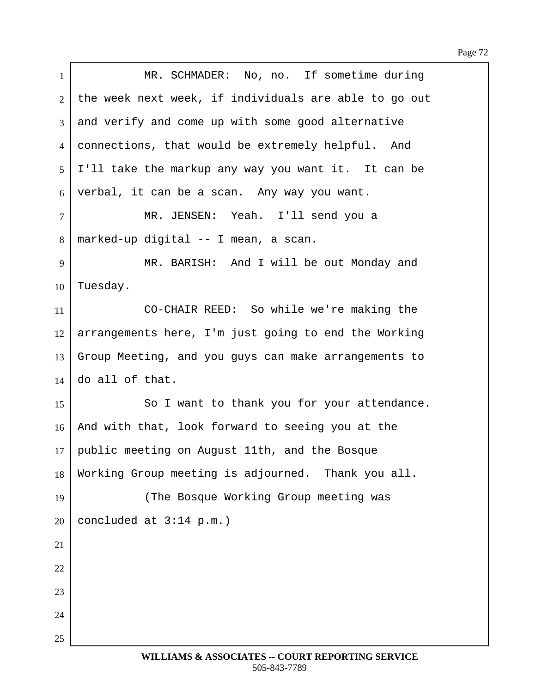| $\mathbf{1}$   | MR. SCHMADER: No, no. If sometime during              |
|----------------|-------------------------------------------------------|
| $\overline{2}$ | the week next week, if individuals are able to go out |
| 3              | and verify and come up with some good alternative     |
| $\overline{4}$ | connections, that would be extremely helpful. And     |
| 5              | I'll take the markup any way you want it. It can be   |
| 6              | verbal, it can be a scan. Any way you want.           |
| $\tau$         | MR. JENSEN: Yeah. I'll send you a                     |
| 8              | marked-up digital -- I mean, a scan.                  |
| 9              | MR. BARISH: And I will be out Monday and              |
| 10             | Tuesday.                                              |
| 11             | CO-CHAIR REED: So while we're making the              |
| 12             | arrangements here, I'm just going to end the Working  |
| 13             | Group Meeting, and you guys can make arrangements to  |
| 14             | do all of that.                                       |
| 15             | So I want to thank you for your attendance.           |
| 16             | And with that, look forward to seeing you at the      |
| 17             | public meeting on August 11th, and the Bosque         |
| 18             | Working Group meeting is adjourned. Thank you all.    |
| 19             | (The Bosque Working Group meeting was                 |
| 20             | concluded at $3:14$ p.m.)                             |
| 21             |                                                       |
| 22             |                                                       |
| 23             |                                                       |
| 24             |                                                       |
| 25             |                                                       |